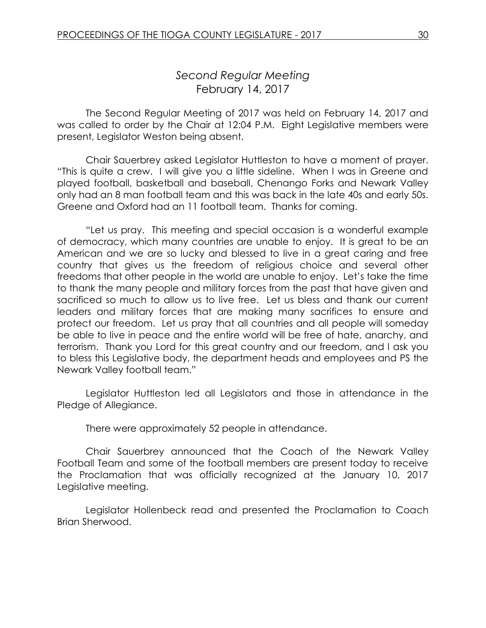# *Second Regular Meeting* February 14, 2017

The Second Regular Meeting of 2017 was held on February 14, 2017 and was called to order by the Chair at 12:04 P.M. Eight Legislative members were present, Legislator Weston being absent.

Chair Sauerbrey asked Legislator Huttleston to have a moment of prayer. "This is quite a crew. I will give you a little sideline. When I was in Greene and played football, basketball and baseball, Chenango Forks and Newark Valley only had an 8 man football team and this was back in the late 40s and early 50s. Greene and Oxford had an 11 football team. Thanks for coming.

"Let us pray. This meeting and special occasion is a wonderful example of democracy, which many countries are unable to enjoy. It is great to be an American and we are so lucky and blessed to live in a great caring and free country that gives us the freedom of religious choice and several other freedoms that other people in the world are unable to enjoy. Let's take the time to thank the many people and military forces from the past that have given and sacrificed so much to allow us to live free. Let us bless and thank our current leaders and military forces that are making many sacrifices to ensure and protect our freedom. Let us pray that all countries and all people will someday be able to live in peace and the entire world will be free of hate, anarchy, and terrorism. Thank you Lord for this great country and our freedom, and I ask you to bless this Legislative body, the department heads and employees and PS the Newark Valley football team."

Legislator Huttleston led all Legislators and those in attendance in the Pledge of Allegiance.

There were approximately 52 people in attendance.

Chair Sauerbrey announced that the Coach of the Newark Valley Football Team and some of the football members are present today to receive the Proclamation that was officially recognized at the January 10, 2017 Legislative meeting.

Legislator Hollenbeck read and presented the Proclamation to Coach Brian Sherwood.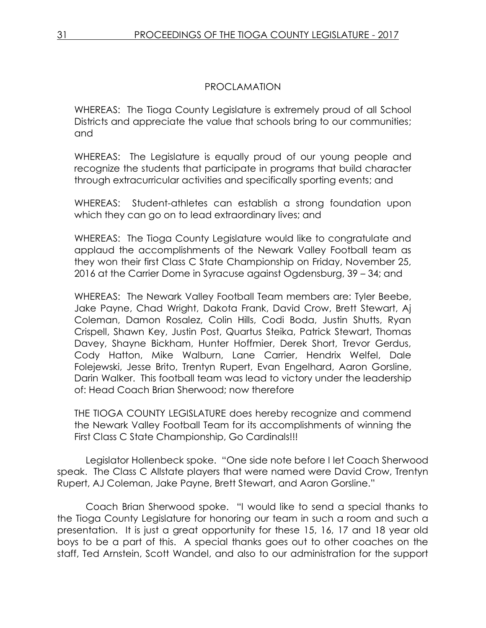## PROCLAMATION

WHEREAS: The Tioga County Legislature is extremely proud of all School Districts and appreciate the value that schools bring to our communities; and

WHEREAS: The Legislature is equally proud of our young people and recognize the students that participate in programs that build character through extracurricular activities and specifically sporting events; and

WHEREAS: Student-athletes can establish a strong foundation upon which they can go on to lead extraordinary lives; and

WHEREAS: The Tioga County Legislature would like to congratulate and applaud the accomplishments of the Newark Valley Football team as they won their first Class C State Championship on Friday, November 25, 2016 at the Carrier Dome in Syracuse against Ogdensburg, 39 – 34; and

WHEREAS: The Newark Valley Football Team members are: Tyler Beebe, Jake Payne, Chad Wright, Dakota Frank, David Crow, Brett Stewart, Aj Coleman, Damon Rosalez, Colin Hills, Codi Boda, Justin Shutts, Ryan Crispell, Shawn Key, Justin Post, Quartus Steika, Patrick Stewart, Thomas Davey, Shayne Bickham, Hunter Hoffmier, Derek Short, Trevor Gerdus, Cody Hatton, Mike Walburn, Lane Carrier, Hendrix Welfel, Dale Folejewski, Jesse Brito, Trentyn Rupert, Evan Engelhard, Aaron Gorsline, Darin Walker. This football team was lead to victory under the leadership of: Head Coach Brian Sherwood; now therefore

THE TIOGA COUNTY LEGISLATURE does hereby recognize and commend the Newark Valley Football Team for its accomplishments of winning the First Class C State Championship, Go Cardinals!!!

Legislator Hollenbeck spoke. "One side note before I let Coach Sherwood speak. The Class C Allstate players that were named were David Crow, Trentyn Rupert, AJ Coleman, Jake Payne, Brett Stewart, and Aaron Gorsline."

Coach Brian Sherwood spoke. "I would like to send a special thanks to the Tioga County Legislature for honoring our team in such a room and such a presentation. It is just a great opportunity for these 15, 16, 17 and 18 year old boys to be a part of this. A special thanks goes out to other coaches on the staff, Ted Arnstein, Scott Wandel, and also to our administration for the support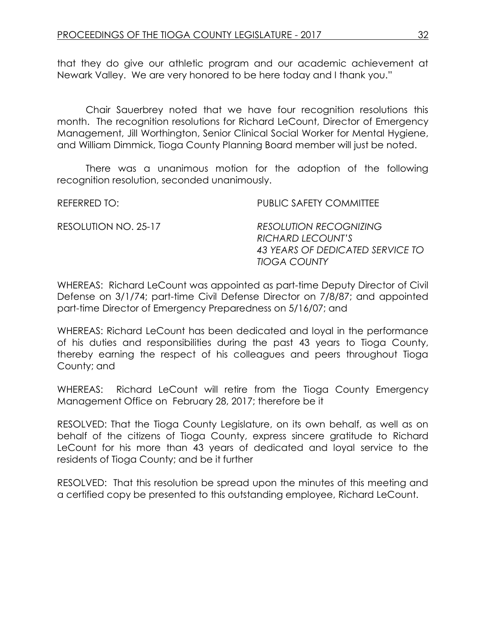that they do give our athletic program and our academic achievement at Newark Valley. We are very honored to be here today and I thank you."

Chair Sauerbrey noted that we have four recognition resolutions this month. The recognition resolutions for Richard LeCount, Director of Emergency Management, Jill Worthington, Senior Clinical Social Worker for Mental Hygiene, and William Dimmick, Tioga County Planning Board member will just be noted.

There was a unanimous motion for the adoption of the following recognition resolution, seconded unanimously.

| REFERRED TO: I       | PUBLIC SAFETY COMMITTEE                                                                                       |
|----------------------|---------------------------------------------------------------------------------------------------------------|
| RESOLUTION NO. 25-17 | <b>RESOLUTION RECOGNIZING</b><br>RICHARD LECOUNT'S<br>43 YEARS OF DEDICATED SERVICE TO<br><b>TIOGA COUNTY</b> |

WHEREAS: Richard LeCount was appointed as part-time Deputy Director of Civil Defense on 3/1/74; part-time Civil Defense Director on 7/8/87; and appointed part-time Director of Emergency Preparedness on 5/16/07; and

WHEREAS: Richard LeCount has been dedicated and loyal in the performance of his duties and responsibilities during the past 43 years to Tioga County, thereby earning the respect of his colleagues and peers throughout Tioga County; and

WHEREAS: Richard LeCount will retire from the Tioga County Emergency Management Office on February 28, 2017; therefore be it

RESOLVED: That the Tioga County Legislature, on its own behalf, as well as on behalf of the citizens of Tioga County, express sincere gratitude to Richard LeCount for his more than 43 years of dedicated and loyal service to the residents of Tioga County; and be it further

RESOLVED: That this resolution be spread upon the minutes of this meeting and a certified copy be presented to this outstanding employee, Richard LeCount.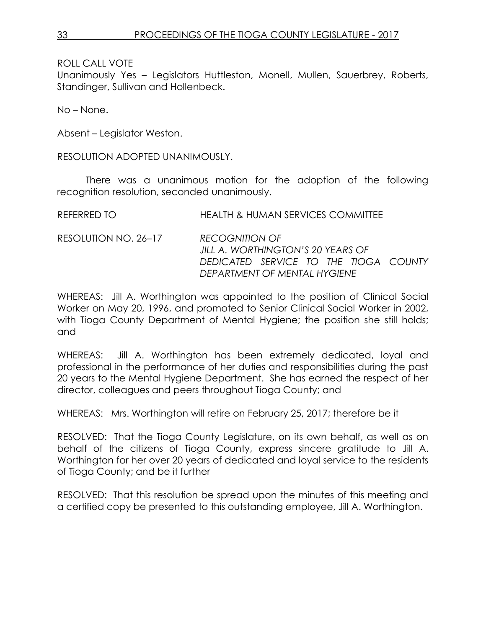Unanimously Yes – Legislators Huttleston, Monell, Mullen, Sauerbrey, Roberts, Standinger, Sullivan and Hollenbeck.

No – None.

Absent – Legislator Weston.

RESOLUTION ADOPTED UNANIMOUSLY.

There was a unanimous motion for the adoption of the following recognition resolution, seconded unanimously.

| HEALTH & HUMAN SERVICES COMMITTEE                                                                                                   |
|-------------------------------------------------------------------------------------------------------------------------------------|
| <b>RECOGNITION OF</b><br>JILL A. WORTHINGTON'S 20 YEARS OF<br>DEDICATED SERVICE TO THE TIOGA COUNTY<br>DEPARTMENT OF MENTAL HYGIENE |
|                                                                                                                                     |

WHEREAS: Jill A. Worthington was appointed to the position of Clinical Social Worker on May 20, 1996, and promoted to Senior Clinical Social Worker in 2002, with Tioga County Department of Mental Hygiene; the position she still holds; and

WHEREAS: Jill A. Worthington has been extremely dedicated, loyal and professional in the performance of her duties and responsibilities during the past 20 years to the Mental Hygiene Department. She has earned the respect of her director, colleagues and peers throughout Tioga County; and

WHEREAS: Mrs. Worthington will retire on February 25, 2017; therefore be it

RESOLVED: That the Tioga County Legislature, on its own behalf, as well as on behalf of the citizens of Tioga County, express sincere gratitude to Jill A. Worthington for her over 20 years of dedicated and loyal service to the residents of Tioga County; and be it further

RESOLVED: That this resolution be spread upon the minutes of this meeting and a certified copy be presented to this outstanding employee, Jill A. Worthington.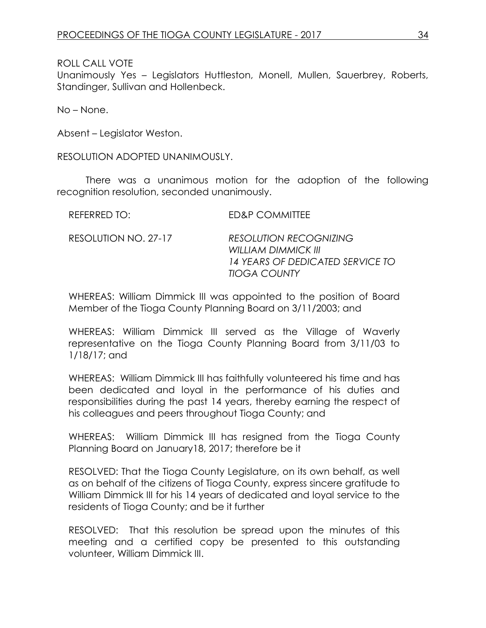Unanimously Yes – Legislators Huttleston, Monell, Mullen, Sauerbrey, Roberts, Standinger, Sullivan and Hollenbeck.

No – None.

Absent – Legislator Weston.

RESOLUTION ADOPTED UNANIMOUSLY.

There was a unanimous motion for the adoption of the following recognition resolution, seconded unanimously.

| REFERRED TO: | <b>ED&amp;P COMMITTEE</b> |  |  |
|--------------|---------------------------|--|--|
|              |                           |  |  |

RESOLUTION NO. 27-17 *RESOLUTION RECOGNIZING WILLIAM DIMMICK III 14 YEARS OF DEDICATED SERVICE TO TIOGA COUNTY*

WHEREAS: William Dimmick III was appointed to the position of Board Member of the Tioga County Planning Board on 3/11/2003; and

WHEREAS: William Dimmick III served as the Village of Waverly representative on the Tioga County Planning Board from 3/11/03 to 1/18/17; and

WHEREAS: William Dimmick III has faithfully volunteered his time and has been dedicated and loyal in the performance of his duties and responsibilities during the past 14 years, thereby earning the respect of his colleagues and peers throughout Tioga County; and

WHEREAS: William Dimmick III has resigned from the Tioga County Planning Board on January18, 2017; therefore be it

RESOLVED: That the Tioga County Legislature, on its own behalf, as well as on behalf of the citizens of Tioga County, express sincere gratitude to William Dimmick III for his 14 years of dedicated and loyal service to the residents of Tioga County; and be it further

RESOLVED: That this resolution be spread upon the minutes of this meeting and a certified copy be presented to this outstanding volunteer, William Dimmick III.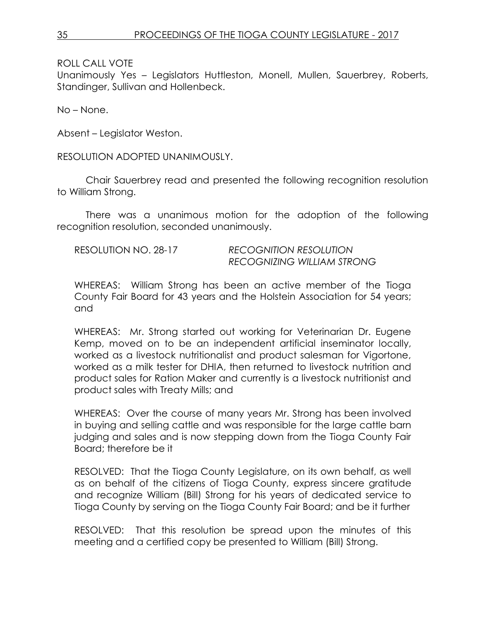Unanimously Yes – Legislators Huttleston, Monell, Mullen, Sauerbrey, Roberts, Standinger, Sullivan and Hollenbeck.

No – None.

Absent – Legislator Weston.

RESOLUTION ADOPTED UNANIMOUSLY.

Chair Sauerbrey read and presented the following recognition resolution to William Strong.

There was a unanimous motion for the adoption of the following recognition resolution, seconded unanimously.

RESOLUTION NO. 28-17 *RECOGNITION RESOLUTION RECOGNIZING WILLIAM STRONG*

WHEREAS: William Strong has been an active member of the Tioga County Fair Board for 43 years and the Holstein Association for 54 years; and

WHEREAS: Mr. Strong started out working for Veterinarian Dr. Eugene Kemp, moved on to be an independent artificial inseminator locally, worked as a livestock nutritionalist and product salesman for Vigortone, worked as a milk tester for DHIA, then returned to livestock nutrition and product sales for Ration Maker and currently is a livestock nutritionist and product sales with Treaty Mills; and

WHEREAS: Over the course of many years Mr. Strong has been involved in buying and selling cattle and was responsible for the large cattle barn judging and sales and is now stepping down from the Tioga County Fair Board; therefore be it

RESOLVED: That the Tioga County Legislature, on its own behalf, as well as on behalf of the citizens of Tioga County, express sincere gratitude and recognize William (Bill) Strong for his years of dedicated service to Tioga County by serving on the Tioga County Fair Board; and be it further

RESOLVED: That this resolution be spread upon the minutes of this meeting and a certified copy be presented to William (Bill) Strong.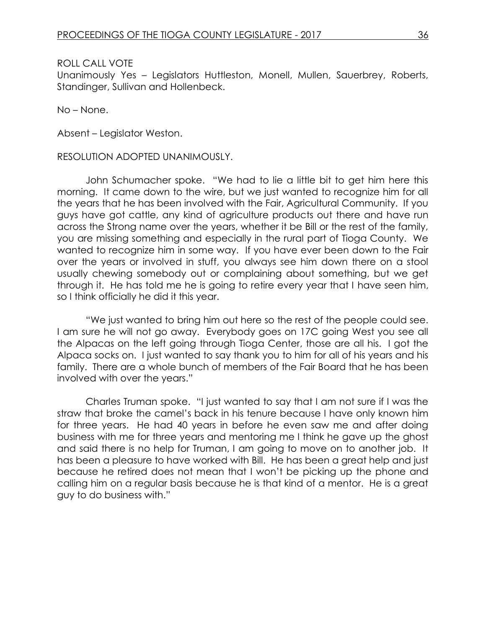Unanimously Yes – Legislators Huttleston, Monell, Mullen, Sauerbrey, Roberts, Standinger, Sullivan and Hollenbeck.

No – None.

Absent – Legislator Weston.

#### RESOLUTION ADOPTED UNANIMOUSLY.

John Schumacher spoke. "We had to lie a little bit to get him here this morning. It came down to the wire, but we just wanted to recognize him for all the years that he has been involved with the Fair, Agricultural Community. If you guys have got cattle, any kind of agriculture products out there and have run across the Strong name over the years, whether it be Bill or the rest of the family, you are missing something and especially in the rural part of Tioga County. We wanted to recognize him in some way. If you have ever been down to the Fair over the years or involved in stuff, you always see him down there on a stool usually chewing somebody out or complaining about something, but we get through it. He has told me he is going to retire every year that I have seen him, so I think officially he did it this year.

"We just wanted to bring him out here so the rest of the people could see. I am sure he will not go away. Everybody goes on 17C going West you see all the Alpacas on the left going through Tioga Center, those are all his. I got the Alpaca socks on. I just wanted to say thank you to him for all of his years and his family. There are a whole bunch of members of the Fair Board that he has been involved with over the years."

Charles Truman spoke. "I just wanted to say that I am not sure if I was the straw that broke the camel's back in his tenure because I have only known him for three years. He had 40 years in before he even saw me and after doing business with me for three years and mentoring me I think he gave up the ghost and said there is no help for Truman, I am going to move on to another job. It has been a pleasure to have worked with Bill. He has been a great help and just because he retired does not mean that I won't be picking up the phone and calling him on a regular basis because he is that kind of a mentor. He is a great guy to do business with."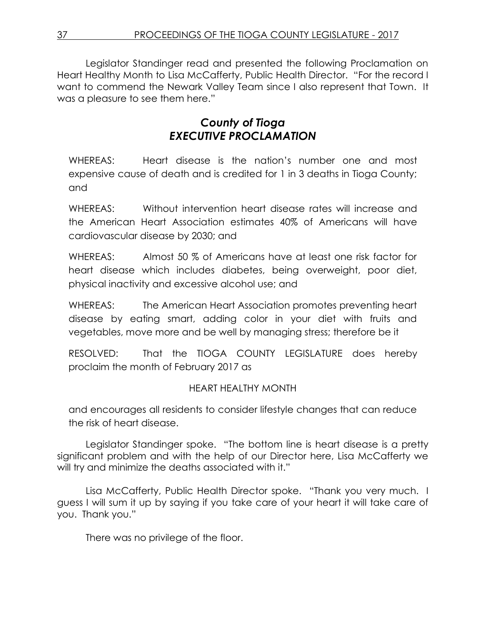Legislator Standinger read and presented the following Proclamation on Heart Healthy Month to Lisa McCafferty, Public Health Director. "For the record I want to commend the Newark Valley Team since I also represent that Town. It was a pleasure to see them here."

# *County of Tioga EXECUTIVE PROCLAMATION*

WHEREAS: Heart disease is the nation's number one and most expensive cause of death and is credited for 1 in 3 deaths in Tioga County; and

WHEREAS: Without intervention heart disease rates will increase and the American Heart Association estimates 40% of Americans will have cardiovascular disease by 2030; and

WHEREAS: Almost 50 % of Americans have at least one risk factor for heart disease which includes diabetes, being overweight, poor diet, physical inactivity and excessive alcohol use; and

WHEREAS: The American Heart Association promotes preventing heart disease by eating smart, adding color in your diet with fruits and vegetables, move more and be well by managing stress; therefore be it

RESOLVED: That the TIOGA COUNTY LEGISLATURE does hereby proclaim the month of February 2017 as

# HEART HEALTHY MONTH

and encourages all residents to consider lifestyle changes that can reduce the risk of heart disease.

Legislator Standinger spoke. "The bottom line is heart disease is a pretty significant problem and with the help of our Director here, Lisa McCafferty we will try and minimize the deaths associated with it."

Lisa McCafferty, Public Health Director spoke. "Thank you very much. I guess I will sum it up by saying if you take care of your heart it will take care of you. Thank you."

There was no privilege of the floor.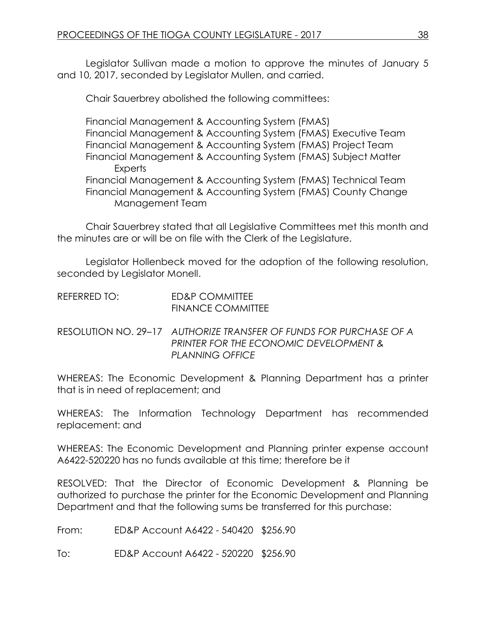Legislator Sullivan made a motion to approve the minutes of January 5 and 10, 2017, seconded by Legislator Mullen, and carried.

Chair Sauerbrey abolished the following committees:

Financial Management & Accounting System (FMAS) Financial Management & Accounting System (FMAS) Executive Team Financial Management & Accounting System (FMAS) Project Team Financial Management & Accounting System (FMAS) Subject Matter **Experts** Financial Management & Accounting System (FMAS) Technical Team Financial Management & Accounting System (FMAS) County Change Management Team

Chair Sauerbrey stated that all Legislative Committees met this month and the minutes are or will be on file with the Clerk of the Legislature.

Legislator Hollenbeck moved for the adoption of the following resolution, seconded by Legislator Monell.

| REFERRED TO: | ED&P COMMITTEE           |
|--------------|--------------------------|
|              | <b>FINANCE COMMITTEE</b> |

RESOLUTION NO. 29–17 *AUTHORIZE TRANSFER OF FUNDS FOR PURCHASE OF A PRINTER FOR THE ECONOMIC DEVELOPMENT & PLANNING OFFICE*

WHEREAS: The Economic Development & Planning Department has a printer that is in need of replacement; and

WHEREAS: The Information Technology Department has recommended replacement: and

WHEREAS: The Economic Development and Planning printer expense account A6422-520220 has no funds available at this time; therefore be it

RESOLVED: That the Director of Economic Development & Planning be authorized to purchase the printer for the Economic Development and Planning Department and that the following sums be transferred for this purchase:

From: ED&P Account A6422 - 540420 \$256.90

To: ED&P Account A6422 - 520220 \$256.90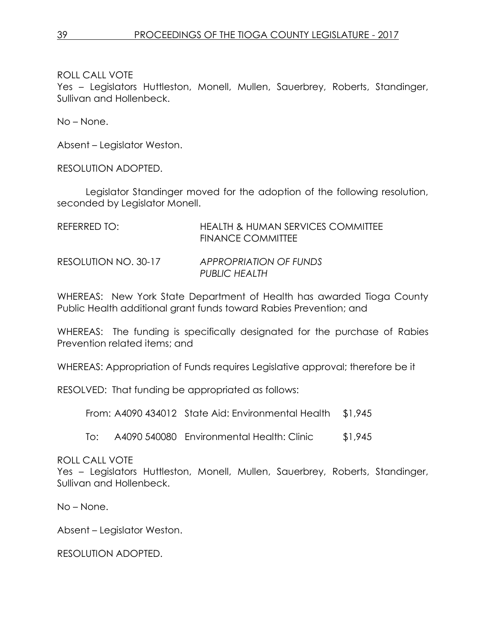Yes – Legislators Huttleston, Monell, Mullen, Sauerbrey, Roberts, Standinger, Sullivan and Hollenbeck.

No – None.

Absent – Legislator Weston.

RESOLUTION ADOPTED.

Legislator Standinger moved for the adoption of the following resolution, seconded by Legislator Monell.

| REFERRED TO:         | <b>HEALTH &amp; HUMAN SERVICES COMMITTEE</b><br>FINANCE COMMITTEE |
|----------------------|-------------------------------------------------------------------|
| RESOLUTION NO. 30-17 | APPROPRIATION OF FUNDS<br>PUBLIC HEALTH                           |

WHEREAS: New York State Department of Health has awarded Tioga County Public Health additional grant funds toward Rabies Prevention; and

WHEREAS: The funding is specifically designated for the purchase of Rabies Prevention related items; and

WHEREAS: Appropriation of Funds requires Legislative approval; therefore be it

RESOLVED: That funding be appropriated as follows:

From: A4090 434012 State Aid: Environmental Health \$1,945

To: A4090 540080 Environmental Health: Clinic \$1,945

### ROLL CALL VOTE

Yes – Legislators Huttleston, Monell, Mullen, Sauerbrey, Roberts, Standinger, Sullivan and Hollenbeck.

No – None.

Absent – Legislator Weston.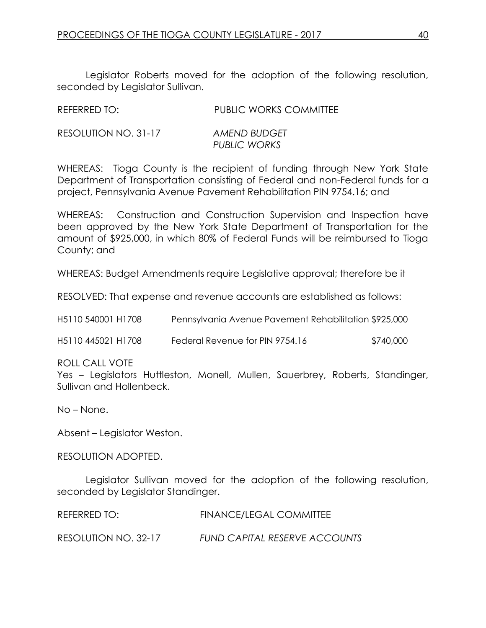Legislator Roberts moved for the adoption of the following resolution, seconded by Legislator Sullivan.

| REFERRED TO:         | <b>PUBLIC WORKS COMMITTEE</b> |
|----------------------|-------------------------------|
| RESOLUTION NO. 31-17 | AMEND BUDGET<br>PUBLIC WORKS  |

WHEREAS: Tioga County is the recipient of funding through New York State Department of Transportation consisting of Federal and non-Federal funds for a project, Pennsylvania Avenue Pavement Rehabilitation PIN 9754.16; and

WHEREAS: Construction and Construction Supervision and Inspection have been approved by the New York State Department of Transportation for the amount of \$925,000, in which 80% of Federal Funds will be reimbursed to Tioga County; and

WHEREAS: Budget Amendments require Legislative approval; therefore be it

RESOLVED: That expense and revenue accounts are established as follows:

| H5110 540001 H1708 | Pennsylvania Avenue Pavement Rehabilitation \$925,000 |           |
|--------------------|-------------------------------------------------------|-----------|
| H5110 445021 H1708 | Federal Revenue for PIN 9754.16                       | \$740,000 |

#### ROLL CALL VOTE

Yes – Legislators Huttleston, Monell, Mullen, Sauerbrey, Roberts, Standinger, Sullivan and Hollenbeck.

No – None.

Absent – Legislator Weston.

RESOLUTION ADOPTED.

Legislator Sullivan moved for the adoption of the following resolution, seconded by Legislator Standinger.

| REFERRED TO:         | FINANCE/LEGAL COMMITTEE              |
|----------------------|--------------------------------------|
| RESOLUTION NO. 32-17 | <b>FUND CAPITAL RESERVE ACCOUNTS</b> |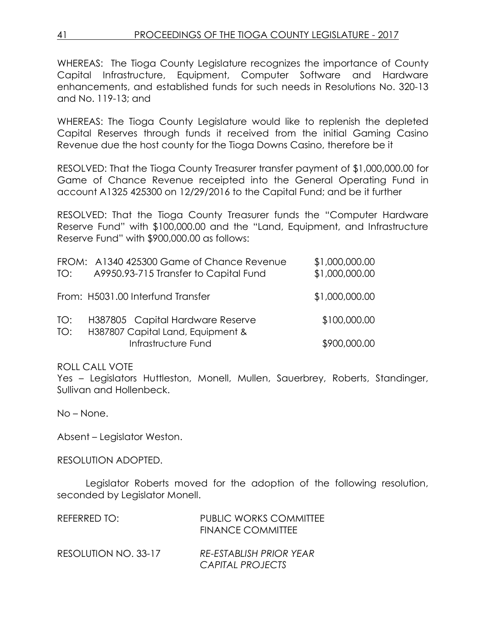WHEREAS: The Tioga County Legislature recognizes the importance of County Capital Infrastructure, Equipment, Computer Software and Hardware enhancements, and established funds for such needs in Resolutions No. 320-13 and No. 119-13; and

WHEREAS: The Tioga County Legislature would like to replenish the depleted Capital Reserves through funds it received from the initial Gaming Casino Revenue due the host county for the Tioga Downs Casino, therefore be it

RESOLVED: That the Tioga County Treasurer transfer payment of \$1,000,000.00 for Game of Chance Revenue receipted into the General Operating Fund in account A1325 425300 on 12/29/2016 to the Capital Fund; and be it further

RESOLVED: That the Tioga County Treasurer funds the "Computer Hardware Reserve Fund" with \$100,000.00 and the "Land, Equipment, and Infrastructure Reserve Fund" with \$900,000.00 as follows:

| TO:        | FROM: A1340 425300 Game of Chance Revenue<br>A9950.93-715 Transfer to Capital Fund | \$1,000,000.00<br>\$1,000,000.00 |
|------------|------------------------------------------------------------------------------------|----------------------------------|
|            | From: H5031.00 Interfund Transfer                                                  | \$1,000,000.00                   |
| TO:<br>TO: | H387805 Capital Hardware Reserve<br>H387807 Capital Land, Equipment &              | \$100,000.00                     |
|            | Infrastructure Fund                                                                | \$900,000.00                     |

ROLL CALL VOTE

Yes – Legislators Huttleston, Monell, Mullen, Sauerbrey, Roberts, Standinger, Sullivan and Hollenbeck.

No – None.

Absent – Legislator Weston.

RESOLUTION ADOPTED.

Legislator Roberts moved for the adoption of the following resolution, seconded by Legislator Monell.

| REFERRED TO:         | <b>PUBLIC WORKS COMMITTEE</b><br><b>FINANCE COMMITTEE</b> |
|----------------------|-----------------------------------------------------------|
| RESOLUTION NO. 33-17 | <b>RE-ESTABLISH PRIOR YEAR</b><br>CAPITAL PROJECTS        |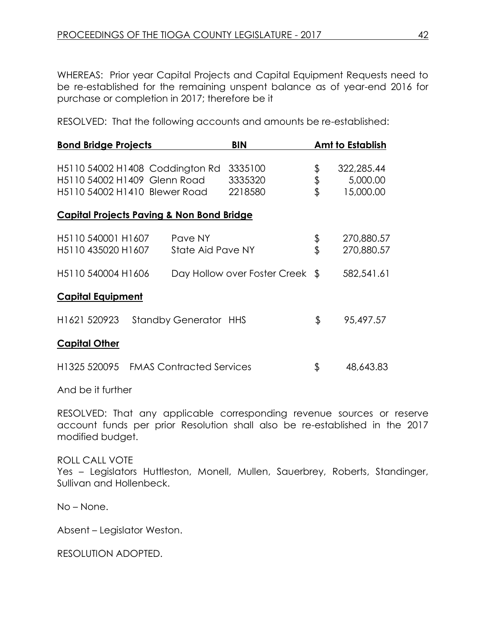WHEREAS: Prior year Capital Projects and Capital Equipment Requests need to be re-established for the remaining unspent balance as of year-end 2016 for purchase or completion in 2017; therefore be it

RESOLVED: That the following accounts and amounts be re-established:

| <b>Bond Bridge Projects</b>                                                                      |                              | <b>BIN</b>                      |                | <b>Amt to Establish</b>             |
|--------------------------------------------------------------------------------------------------|------------------------------|---------------------------------|----------------|-------------------------------------|
| H5110 54002 H1408 Coddington Rd<br>H5110 54002 H1409 Glenn Road<br>H5110 54002 H1410 Blewer Road |                              | 3335100<br>3335320<br>2218580   | \$<br>\$<br>\$ | 322,285.44<br>5,000.00<br>15,000.00 |
| <b>Capital Projects Paving &amp; Non Bond Bridge</b>                                             |                              |                                 |                |                                     |
| H5110 540001 H1607<br>H5110 435020 H1607                                                         | Pave NY<br>State Aid Pave NY |                                 | \$<br>\$       | 270,880.57<br>270,880.57            |
| H5110 540004 H1606                                                                               |                              | Day Hollow over Foster Creek \$ |                | 582,541.61                          |
| <b>Capital Equipment</b>                                                                         |                              |                                 |                |                                     |
| H <sub>1621</sub> 520923                                                                         | <b>Standby Generator HHS</b> |                                 | \$             | 95,497.57                           |
| <b>Capital Other</b>                                                                             |                              |                                 |                |                                     |
| H1325 520095 FMAS Contracted Services                                                            |                              |                                 | \$             | 48,643.83                           |
|                                                                                                  |                              |                                 |                |                                     |

And be it further

RESOLVED: That any applicable corresponding revenue sources or reserve account funds per prior Resolution shall also be re-established in the 2017 modified budget.

#### ROLL CALL VOTE

Yes - Legislators Huttleston, Monell, Mullen, Sauerbrey, Roberts, Standinger, Sullivan and Hollenbeck.

No – None.

Absent – Legislator Weston.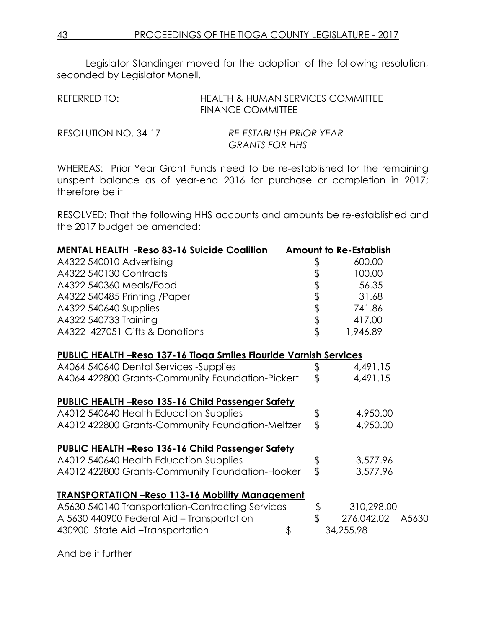Legislator Standinger moved for the adoption of the following resolution, seconded by Legislator Monell.

| REFERRED TO: | <b>HEALTH &amp; HUMAN SERVICES COMMITTEE</b><br><b>FINANCE COMMITTEE</b> |
|--------------|--------------------------------------------------------------------------|
|              | --------------------                                                     |

| RESOLUTION NO. 34-17 | <b>RE-ESTABLISH PRIOR YEAR</b> |
|----------------------|--------------------------------|
|                      | <b>GRANTS FOR HHS</b>          |

WHEREAS: Prior Year Grant Funds need to be re-established for the remaining unspent balance as of year-end 2016 for purchase or completion in 2017; therefore be it

RESOLVED: That the following HHS accounts and amounts be re-established and the 2017 budget be amended:

| <b>MENTAL HEALTH -Reso 83-16 Suicide Coalition</b>                       |               | <b>Amount to Re-Establish</b> |  |
|--------------------------------------------------------------------------|---------------|-------------------------------|--|
| A4322 540010 Advertising                                                 |               | 600.00                        |  |
| A4322 540130 Contracts                                                   |               | 100.00                        |  |
| A4322 540360 Meals/Food                                                  |               | 56.35                         |  |
| A4322 540485 Printing /Paper                                             |               | 31.68                         |  |
| A4322 540640 Supplies                                                    |               | 741.86                        |  |
| A4322 540733 Training                                                    |               | 417.00                        |  |
| A4322 427051 Gifts & Donations                                           | ももまままま        | 1,946.89                      |  |
| <u>PUBLIC HEALTH -Reso 137-16 Tioga Smiles Flouride Varnish Services</u> |               |                               |  |
| A4064 540640 Dental Services -Supplies                                   | \$            | 4,491.15                      |  |
| A4064 422800 Grants-Community Foundation-Pickert                         | \$            | 4,491.15                      |  |
| <b>PUBLIC HEALTH -Reso 135-16 Child Passenger Safety</b>                 |               |                               |  |
| A4012 540640 Health Education-Supplies                                   | $\frac{6}{3}$ | 4,950.00                      |  |
| A4012 422800 Grants-Community Foundation-Meltzer                         |               | 4,950.00                      |  |
| PUBLIC HEALTH -Reso 136-16 Child Passenger Safety                        |               |                               |  |
| A4012 540640 Health Education-Supplies                                   |               | 3,577.96                      |  |
| A4012 422800 Grants-Community Foundation-Hooker                          | $\frac{1}{2}$ | 3,577.96                      |  |
| <b>TRANSPORTATION - Reso 113-16 Mobility Management</b>                  |               |                               |  |
| A5630 540140 Transportation-Contracting Services                         | $\frac{4}{3}$ | 310,298.00                    |  |
| A 5630 440900 Federal Aid - Transportation                               |               | 276.042.02 A5630              |  |
| 430900 State Aid-Transportation                                          | \$            | 34,255.98                     |  |

And be it further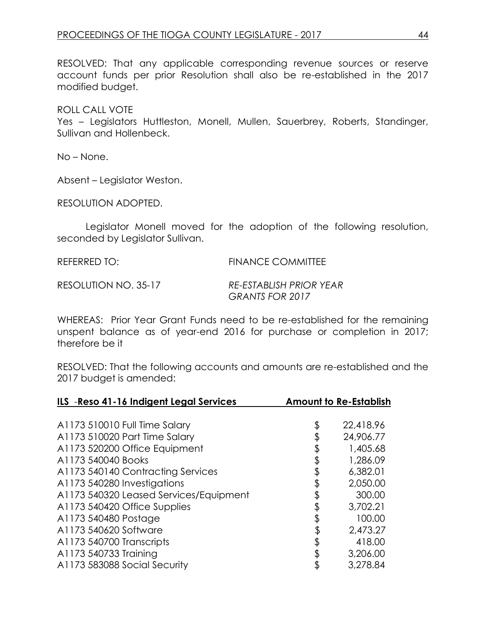RESOLVED: That any applicable corresponding revenue sources or reserve account funds per prior Resolution shall also be re-established in the 2017 modified budget.

ROLL CALL VOTE

Yes – Legislators Huttleston, Monell, Mullen, Sauerbrey, Roberts, Standinger, Sullivan and Hollenbeck.

No – None.

Absent – Legislator Weston.

RESOLUTION ADOPTED.

Legislator Monell moved for the adoption of the following resolution, seconded by Legislator Sullivan.

REFERRED TO: FINANCE COMMITTEE

RESOLUTION NO. 35-17 *RE-ESTABLISH PRIOR YEAR GRANTS FOR 2017*

WHEREAS: Prior Year Grant Funds need to be re-established for the remaining unspent balance as of year-end 2016 for purchase or completion in 2017; therefore be it

RESOLVED: That the following accounts and amounts are re-established and the 2017 budget is amended:

| ILS - Reso 41-16 Indigent Legal Services | <b>Amount to Re-Establish</b> |
|------------------------------------------|-------------------------------|
|                                          |                               |
| A1173 510010 Full Time Salary            | \$<br>22,418.96               |
| A1173 510020 Part Time Salary            | 24,906.77                     |
| A1173 520200 Office Equipment            | \$<br>1,405.68                |
| A1173 540040 Books                       | \$<br>1,286.09                |
| A1173 540140 Contracting Services        | \$<br>6,382.01                |
| A1173 540280 Investigations              | \$<br>2,050.00                |
| A1173 540320 Leased Services/Equipment   | 300.00                        |
| A1173 540420 Office Supplies             | \$<br>3,702.21                |
| A1173 540480 Postage                     | 100.00                        |
| A1173 540620 Software                    | \$<br>2,473.27                |
| A1173 540700 Transcripts                 | \$<br>418.00                  |
| A1173 540733 Training                    | \$<br>3,206.00                |
| A1173 583088 Social Security             | 3,278.84                      |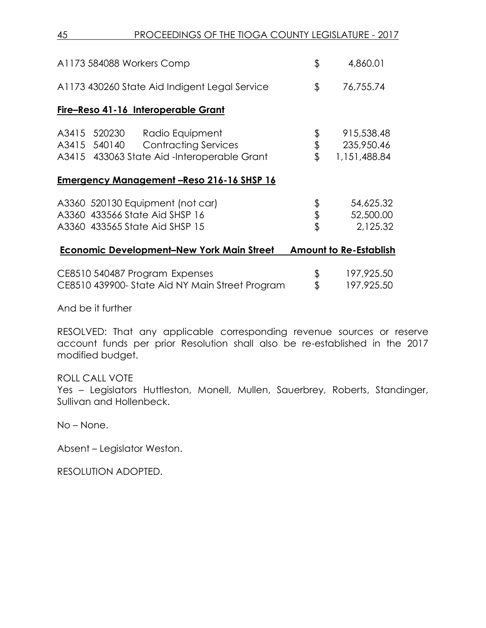45 PROCEEDINGS OF THE TIOGA COUNTY LEGISLATURE - 2017

| A1173 584088 Workers Comp                                                                                                        | \$             | 4,860.01                                 |
|----------------------------------------------------------------------------------------------------------------------------------|----------------|------------------------------------------|
| A1173 430260 State Aid Indigent Legal Service                                                                                    | \$             | 76,755.74                                |
| Fire-Reso 41-16 Interoperable Grant                                                                                              |                |                                          |
| 520230<br>A3415<br>Radio Equipment<br>A3415 540140<br><b>Contracting Services</b><br>A3415 433063 State Aid -Interoperable Grant | \$<br>\$<br>\$ | 915,538.48<br>235,950.46<br>1,151,488.84 |
| <u>Emergency Management-Reso 216-16 SHSP 16</u>                                                                                  |                |                                          |
| A3360 520130 Equipment (not car)<br>A3360 433566 State Aid SHSP 16<br>A3360 433565 State Aid SHSP 15                             | \$<br>\$<br>\$ | 54,625.32<br>52,500.00<br>2,125.32       |
| <b>Economic Development-New York Main Street</b>                                                                                 |                | <b>Amount to Re-Establish</b>            |
| CE8510 540487 Program Expenses<br>CE8510 439900- State Aid NY Main Street Program                                                | \$<br>\$       | 197,925.50<br>197,925.50                 |

And be it further

RESOLVED: That any applicable corresponding revenue sources or reserve account funds per prior Resolution shall also be re-established in the 2017 modified budget.

#### ROLL CALL VOTE

Yes - Legislators Huttleston, Monell, Mullen, Sauerbrey, Roberts, Standinger, Sullivan and Hollenbeck.

No – None.

Absent – Legislator Weston.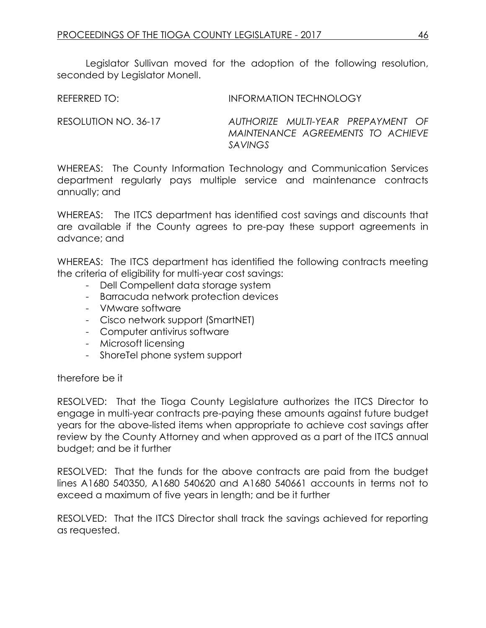Legislator Sullivan moved for the adoption of the following resolution, seconded by Legislator Monell.

REFERRED TO: **INFORMATION TECHNOLOGY** 

RESOLUTION NO. 36-17 *AUTHORIZE MULTI-YEAR PREPAYMENT OF MAINTENANCE AGREEMENTS TO ACHIEVE SAVINGS*

WHEREAS: The County Information Technology and Communication Services department regularly pays multiple service and maintenance contracts annually; and

WHEREAS: The ITCS department has identified cost savings and discounts that are available if the County agrees to pre-pay these support agreements in advance; and

WHEREAS: The ITCS department has identified the following contracts meeting the criteria of eligibility for multi-year cost savings:

- Dell Compellent data storage system
- Barracuda network protection devices
- VMware software
- Cisco network support (SmartNET)
- Computer antivirus software
- Microsoft licensing
- ShoreTel phone system support

### therefore be it

RESOLVED: That the Tioga County Legislature authorizes the ITCS Director to engage in multi-year contracts pre-paying these amounts against future budget years for the above-listed items when appropriate to achieve cost savings after review by the County Attorney and when approved as a part of the ITCS annual budget; and be it further

RESOLVED: That the funds for the above contracts are paid from the budget lines A1680 540350, A1680 540620 and A1680 540661 accounts in terms not to exceed a maximum of five years in length; and be it further

RESOLVED: That the ITCS Director shall track the savings achieved for reporting as requested.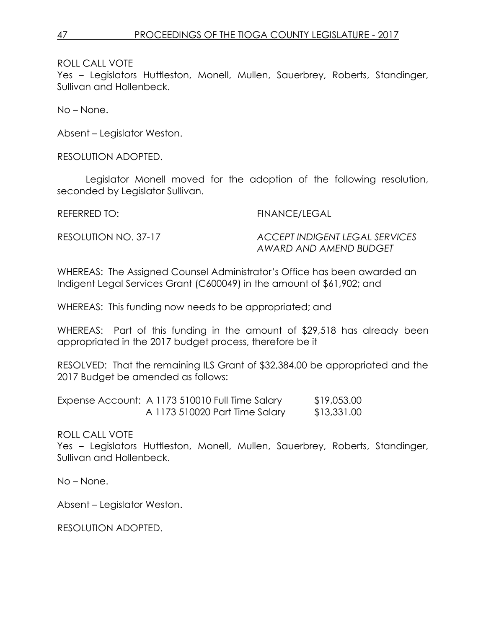Yes – Legislators Huttleston, Monell, Mullen, Sauerbrey, Roberts, Standinger, Sullivan and Hollenbeck.

No – None.

Absent – Legislator Weston.

RESOLUTION ADOPTED.

Legislator Monell moved for the adoption of the following resolution, seconded by Legislator Sullivan.

REFERRED TO: FINANCE/LEGAL

RESOLUTION NO. 37-17 *ACCEPT INDIGENT LEGAL SERVICES AWARD AND AMEND BUDGET*

WHEREAS: The Assigned Counsel Administrator's Office has been awarded an Indigent Legal Services Grant (C600049) in the amount of \$61,902; and

WHEREAS: This funding now needs to be appropriated; and

WHEREAS: Part of this funding in the amount of \$29,518 has already been appropriated in the 2017 budget process, therefore be it

RESOLVED: That the remaining ILS Grant of \$32,384.00 be appropriated and the 2017 Budget be amended as follows:

| Expense Account: A 1173 510010 Full Time Salary | \$19,053.00 |
|-------------------------------------------------|-------------|
| A 1173 510020 Part Time Salary                  | \$13,331.00 |

ROLL CALL VOTE

Yes - Legislators Huttleston, Monell, Mullen, Sauerbrey, Roberts, Standinger, Sullivan and Hollenbeck.

No – None.

Absent – Legislator Weston.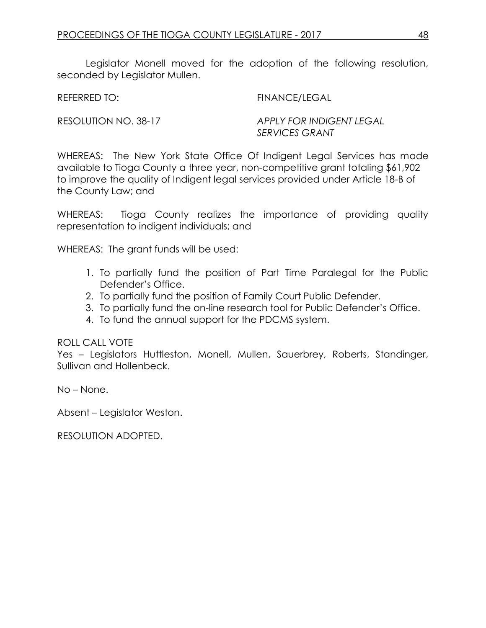Legislator Monell moved for the adoption of the following resolution, seconded by Leaislator Mullen.

REFERRED TO: FINANCE/LEGAL

RESOLUTION NO. 38-17 *APPLY FOR INDIGENT LEGAL SERVICES GRANT*

WHEREAS: The New York State Office Of Indigent Legal Services has made available to Tioga County a three year, non-competitive grant totaling \$61,902 to improve the quality of Indigent legal services provided under Article 18-B of the County Law; and

WHEREAS: Tioga County realizes the importance of providing quality representation to indigent individuals; and

WHEREAS: The grant funds will be used:

- 1. To partially fund the position of Part Time Paralegal for the Public Defender's Office.
- 2. To partially fund the position of Family Court Public Defender.
- 3. To partially fund the on-line research tool for Public Defender's Office.
- 4. To fund the annual support for the PDCMS system.

ROLL CALL VOTE

Yes – Legislators Huttleston, Monell, Mullen, Sauerbrey, Roberts, Standinger, Sullivan and Hollenbeck.

No – None.

Absent – Legislator Weston.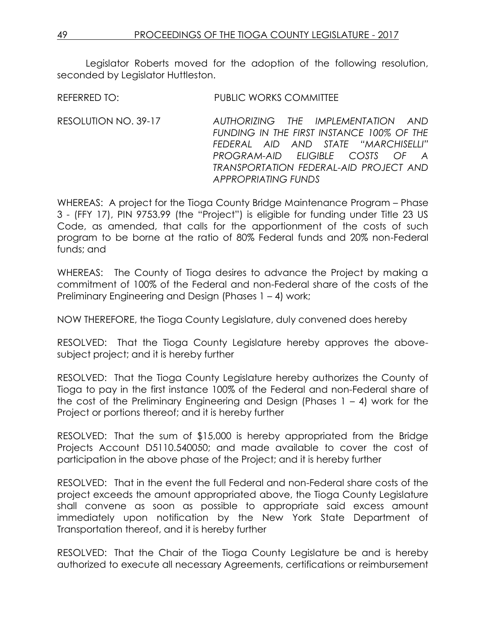Legislator Roberts moved for the adoption of the following resolution, seconded by Legislator Huttleston.

REFERRED TO: PUBLIC WORKS COMMITTEE

RESOLUTION NO. 39-17 *AUTHORIZING THE IMPLEMENTATION AND FUNDING IN THE FIRST INSTANCE 100% OF THE FEDERAL AID AND STATE "MARCHISELLI" PROGRAM-AID ELIGIBLE COSTS OF A TRANSPORTATION FEDERAL-AID PROJECT AND APPROPRIATING FUNDS*

WHEREAS: A project for the Tioga County Bridge Maintenance Program – Phase 3 - (FFY 17), PIN 9753.99 (the "Project") is eligible for funding under Title 23 US Code, as amended, that calls for the apportionment of the costs of such program to be borne at the ratio of 80% Federal funds and 20% non-Federal funds; and

WHEREAS: The County of Tioga desires to advance the Project by making a commitment of 100% of the Federal and non-Federal share of the costs of the Preliminary Engineering and Design (Phases 1 – 4) work;

NOW THEREFORE, the Tioga County Legislature, duly convened does hereby

RESOLVED: That the Tioga County Legislature hereby approves the abovesubject project; and it is hereby further

RESOLVED: That the Tioga County Legislature hereby authorizes the County of Tioga to pay in the first instance 100% of the Federal and non-Federal share of the cost of the Preliminary Engineering and Design (Phases 1 – 4) work for the Project or portions thereof; and it is hereby further

RESOLVED: That the sum of \$15,000 is hereby appropriated from the Bridge Projects Account D5110.540050; and made available to cover the cost of participation in the above phase of the Project; and it is hereby further

RESOLVED: That in the event the full Federal and non-Federal share costs of the project exceeds the amount appropriated above, the Tioga County Legislature shall convene as soon as possible to appropriate said excess amount immediately upon notification by the New York State Department of Transportation thereof, and it is hereby further

RESOLVED: That the Chair of the Tioga County Legislature be and is hereby authorized to execute all necessary Agreements, certifications or reimbursement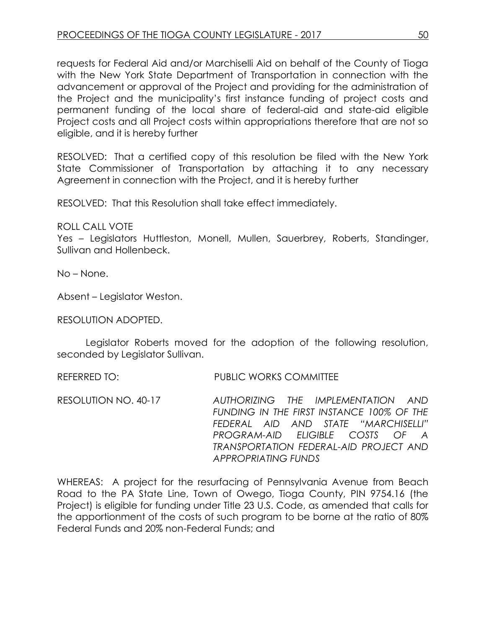requests for Federal Aid and/or Marchiselli Aid on behalf of the County of Tioga with the New York State Department of Transportation in connection with the advancement or approval of the Project and providing for the administration of the Project and the municipality's first instance funding of project costs and permanent funding of the local share of federal-aid and state-aid eligible Project costs and all Project costs within appropriations therefore that are not so eligible, and it is hereby further

RESOLVED: That a certified copy of this resolution be filed with the New York State Commissioner of Transportation by attaching it to any necessary Agreement in connection with the Project, and it is hereby further

RESOLVED: That this Resolution shall take effect immediately.

ROLL CALL VOTE

Yes – Legislators Huttleston, Monell, Mullen, Sauerbrey, Roberts, Standinger, Sullivan and Hollenbeck.

No – None.

Absent – Legislator Weston.

RESOLUTION ADOPTED.

Legislator Roberts moved for the adoption of the following resolution, seconded by Legislator Sullivan.

REFERRED TO: PUBLIC WORKS COMMITTEE

RESOLUTION NO. 40-17 *AUTHORIZING THE IMPLEMENTATION AND FUNDING IN THE FIRST INSTANCE 100% OF THE FEDERAL AID AND STATE "MARCHISELLI" PROGRAM-AID ELIGIBLE COSTS OF A TRANSPORTATION FEDERAL-AID PROJECT AND APPROPRIATING FUNDS*

WHEREAS: A project for the resurfacing of Pennsylvania Avenue from Beach Road to the PA State Line, Town of Owego, Tioga County, PIN 9754.16 (the Project) is eligible for funding under Title 23 U.S. Code, as amended that calls for the apportionment of the costs of such program to be borne at the ratio of 80% Federal Funds and 20% non-Federal Funds; and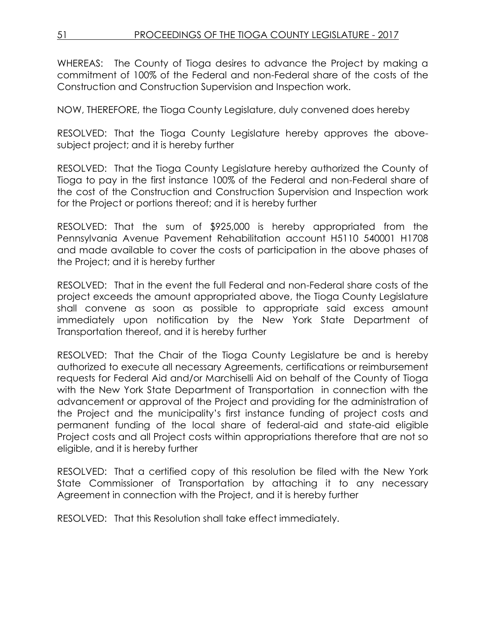WHEREAS: The County of Tioga desires to advance the Project by making a commitment of 100% of the Federal and non-Federal share of the costs of the Construction and Construction Supervision and Inspection work.

NOW, THEREFORE, the Tioga County Legislature, duly convened does hereby

RESOLVED: That the Tioga County Legislature hereby approves the abovesubject project; and it is hereby further

RESOLVED: That the Tioga County Legislature hereby authorized the County of Tioga to pay in the first instance 100% of the Federal and non-Federal share of the cost of the Construction and Construction Supervision and Inspection work for the Project or portions thereof; and it is hereby further

RESOLVED: That the sum of \$925,000 is hereby appropriated from the Pennsylvania Avenue Pavement Rehabilitation account H5110 540001 H1708 and made available to cover the costs of participation in the above phases of the Project; and it is hereby further

RESOLVED: That in the event the full Federal and non-Federal share costs of the project exceeds the amount appropriated above, the Tioga County Legislature shall convene as soon as possible to appropriate said excess amount immediately upon notification by the New York State Department of Transportation thereof, and it is hereby further

RESOLVED: That the Chair of the Tioga County Legislature be and is hereby authorized to execute all necessary Agreements, certifications or reimbursement requests for Federal Aid and/or Marchiselli Aid on behalf of the County of Tioga with the New York State Department of Transportation in connection with the advancement or approval of the Project and providing for the administration of the Project and the municipality's first instance funding of project costs and permanent funding of the local share of federal-aid and state-aid eligible Project costs and all Project costs within appropriations therefore that are not so eligible, and it is hereby further

RESOLVED: That a certified copy of this resolution be filed with the New York State Commissioner of Transportation by attaching it to any necessary Agreement in connection with the Project, and it is hereby further

RESOLVED: That this Resolution shall take effect immediately.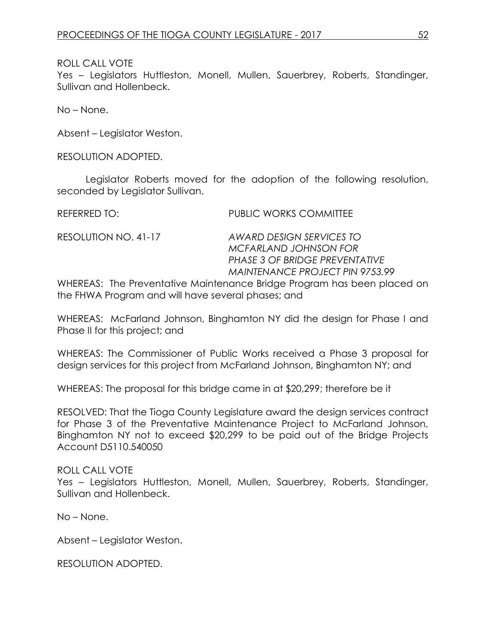Yes – Legislators Huttleston, Monell, Mullen, Sauerbrey, Roberts, Standinger, Sullivan and Hollenbeck.

No – None.

Absent – Legislator Weston.

RESOLUTION ADOPTED.

Legislator Roberts moved for the adoption of the following resolution, seconded by Legislator Sullivan.

REFERRED TO: PUBLIC WORKS COMMITTEE

RESOLUTION NO. 41-17 *AWARD DESIGN SERVICES TO MCFARLAND JOHNSON FOR PHASE 3 OF BRIDGE PREVENTATIVE MAINTENANCE PROJECT PIN 9753.99*

WHEREAS: The Preventative Maintenance Bridge Program has been placed on the FHWA Program and will have several phases; and

WHEREAS: McFarland Johnson, Binghamton NY did the design for Phase I and Phase II for this project; and

WHEREAS: The Commissioner of Public Works received a Phase 3 proposal for design services for this project from McFarland Johnson, Binghamton NY; and

WHEREAS: The proposal for this bridge came in at \$20,299; therefore be it

RESOLVED: That the Tioga County Legislature award the design services contract for Phase 3 of the Preventative Maintenance Project to McFarland Johnson, Binghamton NY not to exceed \$20,299 to be paid out of the Bridge Projects Account D5110.540050

#### ROLL CALL VOTE

Yes – Legislators Huttleston, Monell, Mullen, Sauerbrey, Roberts, Standinger, Sullivan and Hollenbeck.

No – None.

Absent – Legislator Weston.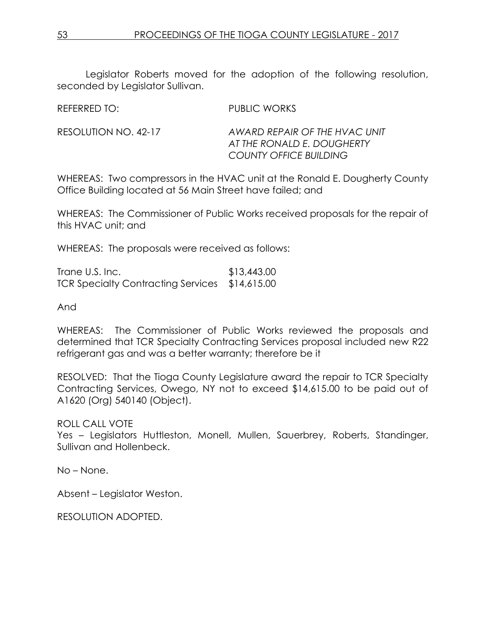Legislator Roberts moved for the adoption of the following resolution, seconded by Legislator Sullivan.

REFERRED TO: PUBLIC WORKS

RESOLUTION NO. 42-17 *AWARD REPAIR OF THE HVAC UNIT AT THE RONALD E. DOUGHERTY COUNTY OFFICE BUILDING*

WHEREAS: Two compressors in the HVAC unit at the Ronald E. Dougherty County Office Building located at 56 Main Street have failed; and

WHEREAS: The Commissioner of Public Works received proposals for the repair of this HVAC unit; and

WHEREAS: The proposals were received as follows:

Trane U.S. Inc. \$13,443.00 TCR Specialty Contracting Services \$14,615.00

And

WHEREAS: The Commissioner of Public Works reviewed the proposals and determined that TCR Specialty Contracting Services proposal included new R22 refrigerant gas and was a better warranty; therefore be it

RESOLVED: That the Tioga County Legislature award the repair to TCR Specialty Contracting Services, Owego, NY not to exceed \$14,615.00 to be paid out of A1620 (Org) 540140 (Object).

ROLL CALL VOTE

Yes – Legislators Huttleston, Monell, Mullen, Sauerbrey, Roberts, Standinger, Sullivan and Hollenbeck.

No – None.

Absent – Legislator Weston.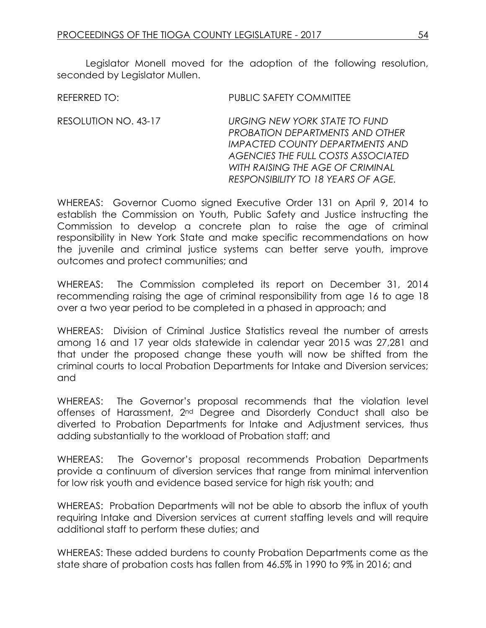Legislator Monell moved for the adoption of the following resolution, seconded by Leaislator Mullen.

| <b>PUBLIC SAFETY COMMITTEE</b><br>REFERRED TO: |
|------------------------------------------------|
|------------------------------------------------|

RESOLUTION NO. 43-17 *URGING NEW YORK STATE TO FUND PROBATION DEPARTMENTS AND OTHER IMPACTED COUNTY DEPARTMENTS AND AGENCIES THE FULL COSTS ASSOCIATED WITH RAISING THE AGE OF CRIMINAL RESPONSIBILITY TO 18 YEARS OF AGE.*

WHEREAS: Governor Cuomo signed Executive Order 131 on April 9, 2014 to establish the Commission on Youth, Public Safety and Justice instructing the Commission to develop a concrete plan to raise the age of criminal responsibility in New York State and make specific recommendations on how the juvenile and criminal justice systems can better serve youth, improve outcomes and protect communities; and

WHEREAS: The Commission completed its report on December 31, 2014 recommending raising the age of criminal responsibility from age 16 to age 18 over a two year period to be completed in a phased in approach; and

WHEREAS: Division of Criminal Justice Statistics reveal the number of arrests among 16 and 17 year olds statewide in calendar year 2015 was 27,281 and that under the proposed change these youth will now be shifted from the criminal courts to local Probation Departments for Intake and Diversion services; and

WHEREAS: The Governor's proposal recommends that the violation level offenses of Harassment, 2nd Degree and Disorderly Conduct shall also be diverted to Probation Departments for Intake and Adjustment services, thus adding substantially to the workload of Probation staff; and

WHEREAS: The Governor's proposal recommends Probation Departments provide a continuum of diversion services that range from minimal intervention for low risk youth and evidence based service for high risk youth; and

WHEREAS: Probation Departments will not be able to absorb the influx of youth requiring Intake and Diversion services at current staffing levels and will require additional staff to perform these duties; and

WHEREAS: These added burdens to county Probation Departments come as the state share of probation costs has fallen from 46.5% in 1990 to 9% in 2016; and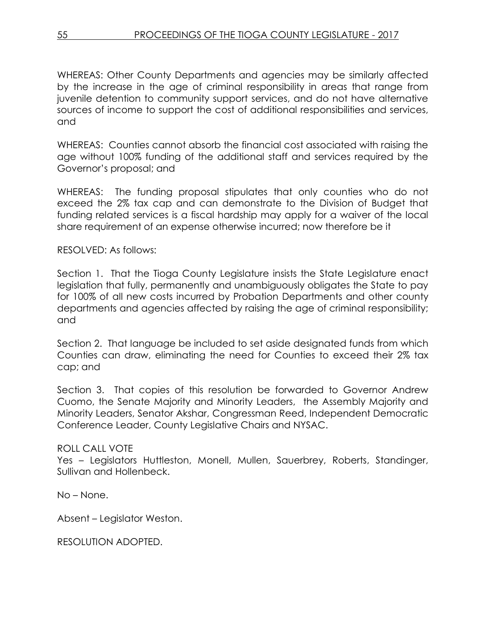WHEREAS: Other County Departments and agencies may be similarly affected by the increase in the age of criminal responsibility in areas that range from juvenile detention to community support services, and do not have alternative sources of income to support the cost of additional responsibilities and services, and

WHEREAS: Counties cannot absorb the financial cost associated with raising the age without 100% funding of the additional staff and services required by the Governor's proposal; and

WHEREAS: The funding proposal stipulates that only counties who do not exceed the 2% tax cap and can demonstrate to the Division of Budget that funding related services is a fiscal hardship may apply for a waiver of the local share requirement of an expense otherwise incurred; now therefore be it

### RESOLVED: As follows:

Section 1. That the Tioga County Legislature insists the State Legislature enact legislation that fully, permanently and unambiguously obligates the State to pay for 100% of all new costs incurred by Probation Departments and other county departments and agencies affected by raising the age of criminal responsibility; and

Section 2. That language be included to set aside designated funds from which Counties can draw, eliminating the need for Counties to exceed their 2% tax cap; and

Section 3. That copies of this resolution be forwarded to Governor Andrew Cuomo, the Senate Majority and Minority Leaders, the Assembly Majority and Minority Leaders, Senator Akshar, Congressman Reed, Independent Democratic Conference Leader, County Legislative Chairs and NYSAC.

### ROLL CALL VOTE

Yes – Legislators Huttleston, Monell, Mullen, Sauerbrey, Roberts, Standinger, Sullivan and Hollenbeck.

No – None.

Absent – Legislator Weston.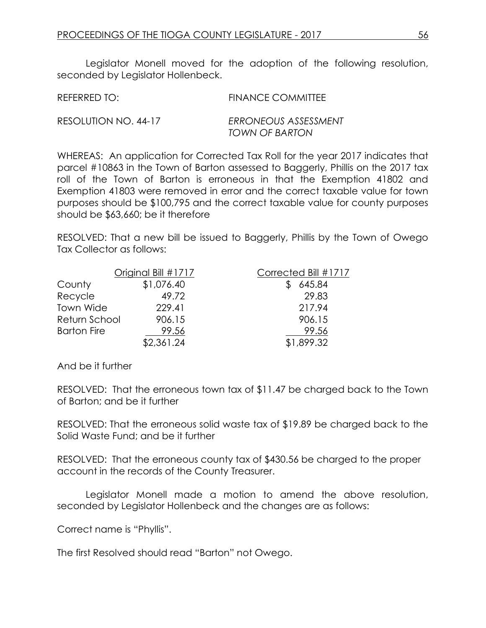Legislator Monell moved for the adoption of the following resolution, seconded by Legislator Hollenbeck.

| REFERRED TO:         | <b>FINANCE COMMITTEE</b> |
|----------------------|--------------------------|
| RESOLUTION NO. 44-17 | ERRONEOUS ASSESSMENT     |
|                      | <b>TOWN OF BARTON</b>    |

WHEREAS: An application for Corrected Tax Roll for the year 2017 indicates that parcel #10863 in the Town of Barton assessed to Baggerly, Phillis on the 2017 tax roll of the Town of Barton is erroneous in that the Exemption 41802 and Exemption 41803 were removed in error and the correct taxable value for town purposes should be \$100,795 and the correct taxable value for county purposes should be \$63,660; be it therefore

RESOLVED: That a new bill be issued to Baggerly, Phillis by the Town of Owego Tax Collector as follows:

|                    | Original Bill #1717 | Corrected Bill #1717 |
|--------------------|---------------------|----------------------|
| County             | \$1,076.40          | 645.84               |
| Recycle            | 49.72               | 29.83                |
| Town Wide          | 229.41              | 217.94               |
| Return School      | 906.15              | 906.15               |
| <b>Barton Fire</b> | 99.56               | 99.56                |
|                    | \$2,361.24          | \$1,899.32           |

And be it further

RESOLVED: That the erroneous town tax of \$11.47 be charged back to the Town of Barton; and be it further

RESOLVED: That the erroneous solid waste tax of \$19.89 be charged back to the Solid Waste Fund; and be it further

RESOLVED: That the erroneous county tax of \$430.56 be charged to the proper account in the records of the County Treasurer.

Legislator Monell made a motion to amend the above resolution, seconded by Legislator Hollenbeck and the changes are as follows:

Correct name is "Phyllis".

The first Resolved should read "Barton" not Owego.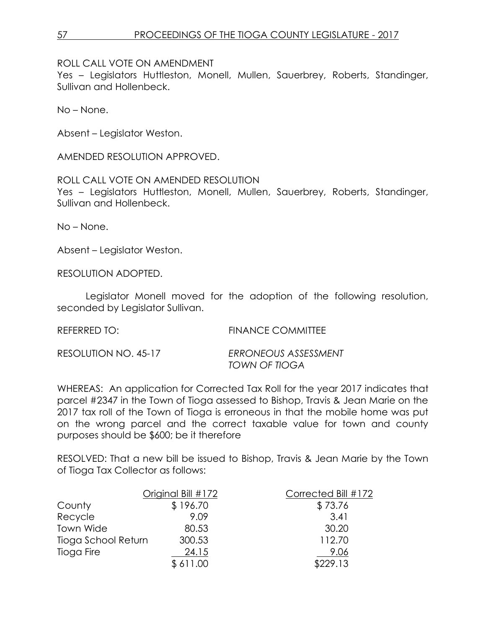ROLL CALL VOTE ON AMENDMENT

Yes - Legislators Huttleston, Monell, Mullen, Sauerbrey, Roberts, Standinger, Sullivan and Hollenbeck.

No – None.

Absent – Legislator Weston.

AMENDED RESOLUTION APPROVED.

#### ROLL CALL VOTE ON AMENDED RESOLUTION

Yes – Legislators Huttleston, Monell, Mullen, Sauerbrey, Roberts, Standinger, Sullivan and Hollenbeck.

No – None.

Absent – Legislator Weston.

RESOLUTION ADOPTED.

Legislator Monell moved for the adoption of the following resolution, seconded by Legislator Sullivan.

REFERRED TO: FINANCE COMMITTEE

| RESOLUTION NO. 45-17 | ERRONEOUS ASSESSMENT |
|----------------------|----------------------|
|                      | TOWN OF TIOGA        |

WHEREAS: An application for Corrected Tax Roll for the year 2017 indicates that parcel #2347 in the Town of Tioga assessed to Bishop, Travis & Jean Marie on the 2017 tax roll of the Town of Tioga is erroneous in that the mobile home was put on the wrong parcel and the correct taxable value for town and county purposes should be \$600; be it therefore

RESOLVED: That a new bill be issued to Bishop, Travis & Jean Marie by the Town of Tioga Tax Collector as follows:

|                     | Original Bill #172 | Corrected Bill #172 |
|---------------------|--------------------|---------------------|
| County              | \$196.70           | \$73.76             |
| Recycle             | 9.09               | 3.41                |
| Town Wide           | 80.53              | 30.20               |
| Tioga School Return | 300.53             | 112.70              |
| Tioga Fire          | 24.15              | 9.06                |
|                     | \$611.00           | \$229.13            |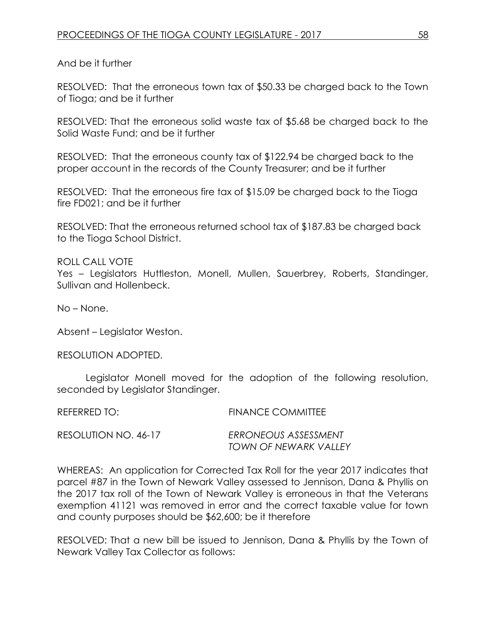RESOLVED: That the erroneous town tax of \$50.33 be charged back to the Town of Tioga; and be it further

RESOLVED: That the erroneous solid waste tax of \$5.68 be charged back to the Solid Waste Fund; and be it further

RESOLVED: That the erroneous county tax of \$122.94 be charged back to the proper account in the records of the County Treasurer; and be it further

RESOLVED: That the erroneous fire tax of \$15.09 be charged back to the Tioga fire FD021; and be it further

RESOLVED: That the erroneous returned school tax of \$187.83 be charged back to the Tioga School District.

ROLL CALL VOTE

Yes – Legislators Huttleston, Monell, Mullen, Sauerbrey, Roberts, Standinger, Sullivan and Hollenbeck.

No – None.

Absent – Legislator Weston.

RESOLUTION ADOPTED.

Legislator Monell moved for the adoption of the following resolution, seconded by Legislator Standinger.

REFERRED TO: FINANCE COMMITTEE

RESOLUTION NO. 46-17 *ERRONEOUS ASSESSMENT TOWN OF NEWARK VALLEY*

WHEREAS: An application for Corrected Tax Roll for the year 2017 indicates that parcel #87 in the Town of Newark Valley assessed to Jennison, Dana & Phyllis on the 2017 tax roll of the Town of Newark Valley is erroneous in that the Veterans exemption 41121 was removed in error and the correct taxable value for town and county purposes should be \$62,600; be it therefore

RESOLVED: That a new bill be issued to Jennison, Dana & Phyllis by the Town of Newark Valley Tax Collector as follows: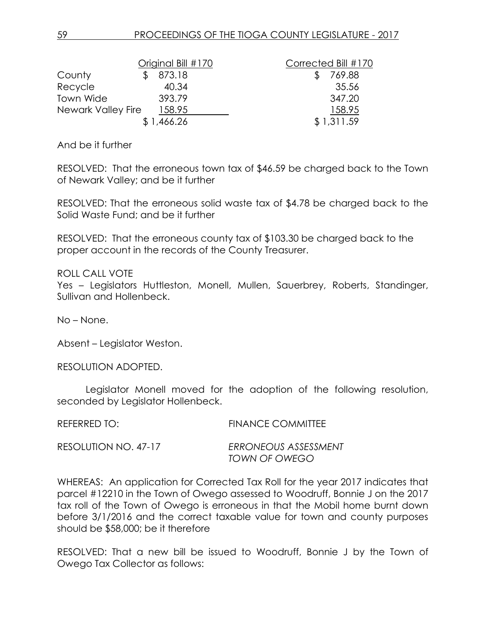|                    | Original Bill #170 |  | Corrected Bill #170 |
|--------------------|--------------------|--|---------------------|
| County             | 873.18             |  | 769.88              |
| Recycle            | 40.34              |  | 35.56               |
| Town Wide          | 393.79             |  | 347.20              |
| Newark Valley Fire | 158.95             |  | 158.95              |
|                    | \$1,466.26         |  | \$1,311.59          |

RESOLVED: That the erroneous town tax of \$46.59 be charged back to the Town of Newark Valley; and be it further

RESOLVED: That the erroneous solid waste tax of \$4.78 be charged back to the Solid Waste Fund; and be it further

RESOLVED: That the erroneous county tax of \$103.30 be charged back to the proper account in the records of the County Treasurer.

ROLL CALL VOTE

Yes – Legislators Huttleston, Monell, Mullen, Sauerbrey, Roberts, Standinger, Sullivan and Hollenbeck.

No – None.

Absent – Legislator Weston.

RESOLUTION ADOPTED.

Legislator Monell moved for the adoption of the following resolution, seconded by Legislator Hollenbeck.

| REFERRED TO:         | <b>FINANCE COMMITTEE</b> |
|----------------------|--------------------------|
| RESOLUTION NO. 47-17 | ERRONEOUS ASSESSMENT     |
|                      | TOWN OF OWEGO            |

WHEREAS: An application for Corrected Tax Roll for the year 2017 indicates that parcel #12210 in the Town of Owego assessed to Woodruff, Bonnie J on the 2017 tax roll of the Town of Owego is erroneous in that the Mobil home burnt down before 3/1/2016 and the correct taxable value for town and county purposes should be \$58,000; be it therefore

RESOLVED: That a new bill be issued to Woodruff, Bonnie J by the Town of Owego Tax Collector as follows: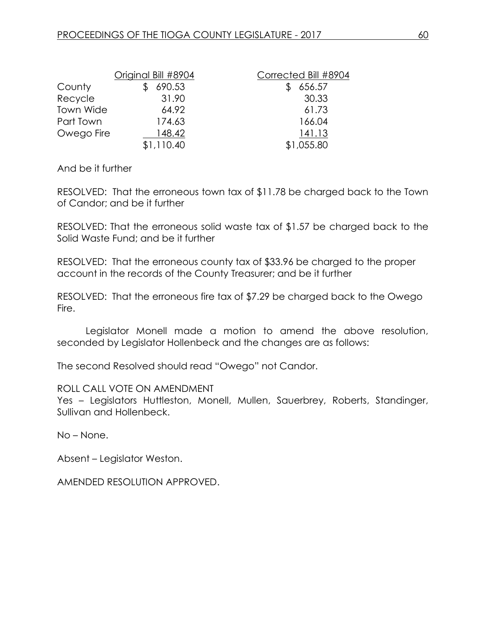|                  | Original Bill #8904 | Corrected Bill #8904 |
|------------------|---------------------|----------------------|
| County           | 690.53              | 656.57               |
| Recycle          | 31.90               | 30.33                |
| <b>Town Wide</b> | 64.92               | 61.73                |
| Part Town        | 174.63              | 166.04               |
| Owego Fire       | 148.42              | 141.13               |
|                  | \$1,110.40          | \$1,055.80           |

RESOLVED: That the erroneous town tax of \$11.78 be charged back to the Town of Candor; and be it further

RESOLVED: That the erroneous solid waste tax of \$1.57 be charged back to the Solid Waste Fund; and be it further

RESOLVED: That the erroneous county tax of \$33.96 be charged to the proper account in the records of the County Treasurer; and be it further

RESOLVED: That the erroneous fire tax of \$7.29 be charged back to the Owego Fire.

Legislator Monell made a motion to amend the above resolution, seconded by Legislator Hollenbeck and the changes are as follows:

The second Resolved should read "Owego" not Candor.

ROLL CALL VOTE ON AMENDMENT

Yes - Legislators Huttleston, Monell, Mullen, Sauerbrey, Roberts, Standinger, Sullivan and Hollenbeck.

No – None.

Absent – Legislator Weston.

AMENDED RESOLUTION APPROVED.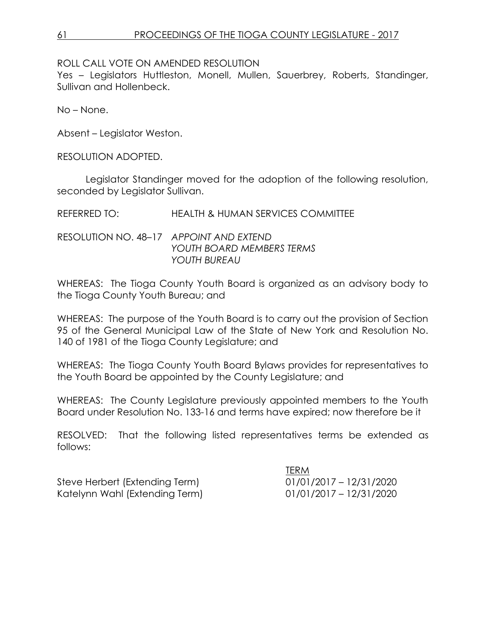ROLL CALL VOTE ON AMENDED RESOLUTION

Yes – Legislators Huttleston, Monell, Mullen, Sauerbrey, Roberts, Standinger, Sullivan and Hollenbeck.

No – None.

Absent – Legislator Weston.

RESOLUTION ADOPTED.

Legislator Standinger moved for the adoption of the following resolution, seconded by Legislator Sullivan.

REFERRED TO: HEALTH & HUMAN SERVICES COMMITTEE

RESOLUTION NO. 48–17 *APPOINT AND EXTEND YOUTH BOARD MEMBERS TERMS YOUTH BUREAU*

WHEREAS: The Tioga County Youth Board is organized as an advisory body to the Tioga County Youth Bureau; and

WHEREAS: The purpose of the Youth Board is to carry out the provision of Section 95 of the General Municipal Law of the State of New York and Resolution No. 140 of 1981 of the Tioga County Legislature; and

WHEREAS: The Tioga County Youth Board Bylaws provides for representatives to the Youth Board be appointed by the County Legislature; and

WHEREAS: The County Legislature previously appointed members to the Youth Board under Resolution No. 133-16 and terms have expired; now therefore be it

RESOLVED: That the following listed representatives terms be extended as follows:

Steve Herbert (Extending Term) 01/01/2017 – 12/31/2020 Katelynn Wahl (Extending Term) 01/01/2017 – 12/31/2020

TERM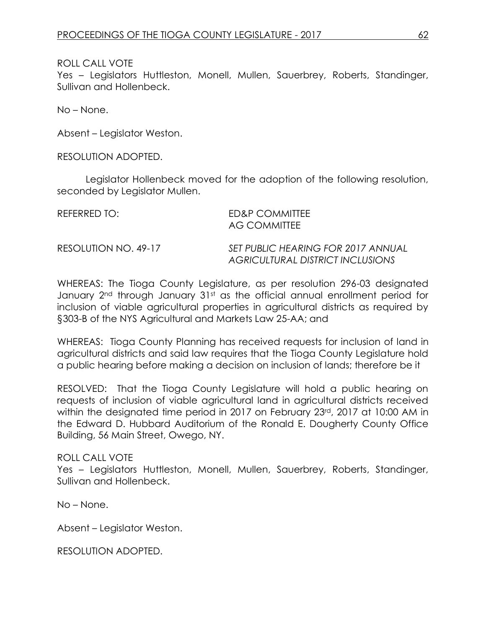Yes – Legislators Huttleston, Monell, Mullen, Sauerbrey, Roberts, Standinger, Sullivan and Hollenbeck.

No – None.

Absent – Legislator Weston.

RESOLUTION ADOPTED.

Legislator Hollenbeck moved for the adoption of the following resolution, seconded by Legislator Mullen.

| REFERRED TO:         | ED&P COMMITTEE<br><b>AG COMMITTEE</b>                                  |
|----------------------|------------------------------------------------------------------------|
| RESOLUTION NO. 49-17 | SET PUBLIC HEARING FOR 2017 ANNUAL<br>AGRICULTURAL DISTRICT INCLUSIONS |

WHEREAS: The Tioga County Legislature, as per resolution 296-03 designated January 2<sup>nd</sup> through January 31st as the official annual enrollment period for inclusion of viable agricultural properties in agricultural districts as required by §303-B of the NYS Agricultural and Markets Law 25-AA; and

WHEREAS: Tioga County Planning has received requests for inclusion of land in agricultural districts and said law requires that the Tioga County Legislature hold a public hearing before making a decision on inclusion of lands; therefore be it

RESOLVED: That the Tioga County Legislature will hold a public hearing on requests of inclusion of viable agricultural land in agricultural districts received within the designated time period in 2017 on February 23rd, 2017 at 10:00 AM in the Edward D. Hubbard Auditorium of the Ronald E. Dougherty County Office Building, 56 Main Street, Owego, NY.

ROLL CALL VOTE Yes – Legislators Huttleston, Monell, Mullen, Sauerbrey, Roberts, Standinger, Sullivan and Hollenbeck.

No – None.

Absent – Legislator Weston.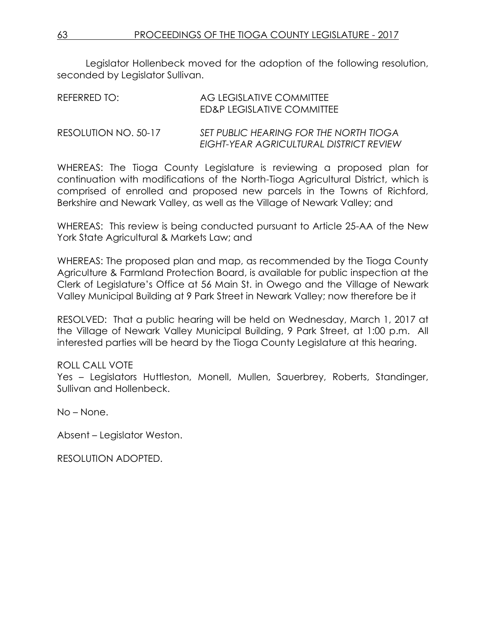Legislator Hollenbeck moved for the adoption of the following resolution, seconded by Legislator Sullivan.

| REFERRED TO:         | AG LEGISLATIVE COMMITTEE<br>ED&P LEGISLATIVE COMMITTEE                            |
|----------------------|-----------------------------------------------------------------------------------|
| RESOLUTION NO. 50-17 | SET PUBLIC HEARING FOR THE NORTH TIOGA<br>EIGHT-YEAR AGRICULTURAL DISTRICT REVIEW |

WHEREAS: The Tioga County Legislature is reviewing a proposed plan for continuation with modifications of the North-Tioga Agricultural District, which is comprised of enrolled and proposed new parcels in the Towns of Richford, Berkshire and Newark Valley, as well as the Village of Newark Valley; and

WHEREAS: This review is being conducted pursuant to Article 25-AA of the New York State Agricultural & Markets Law; and

WHEREAS: The proposed plan and map, as recommended by the Tioga County Agriculture & Farmland Protection Board, is available for public inspection at the Clerk of Legislature's Office at 56 Main St. in Owego and the Village of Newark Valley Municipal Building at 9 Park Street in Newark Valley; now therefore be it

RESOLVED: That a public hearing will be held on Wednesday, March 1, 2017 at the Village of Newark Valley Municipal Building, 9 Park Street, at 1:00 p.m. All interested parties will be heard by the Tioga County Legislature at this hearing.

### ROLL CALL VOTE

Yes – Legislators Huttleston, Monell, Mullen, Sauerbrey, Roberts, Standinger, Sullivan and Hollenbeck.

No – None.

Absent – Legislator Weston.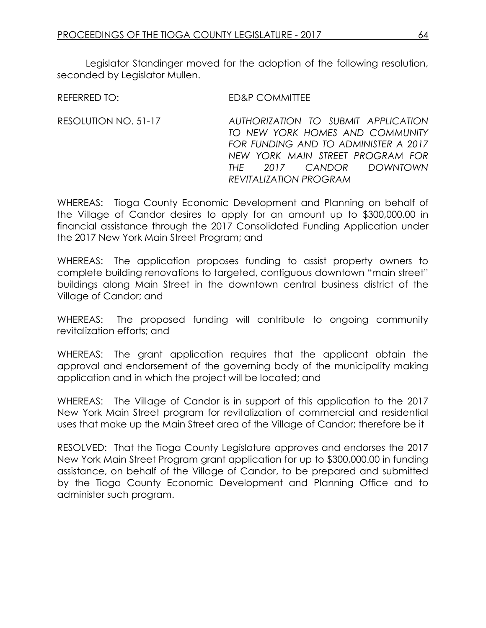Legislator Standinger moved for the adoption of the following resolution, seconded by Leaislator Mullen.

REFERRED TO: ED&P COMMITTEE

RESOLUTION NO. 51-17 *AUTHORIZATION TO SUBMIT APPLICATION TO NEW YORK HOMES AND COMMUNITY FOR FUNDING AND TO ADMINISTER A 2017 NEW YORK MAIN STREET PROGRAM FOR THE 2017 CANDOR DOWNTOWN REVITALIZATION PROGRAM*

WHEREAS: Tioga County Economic Development and Planning on behalf of the Village of Candor desires to apply for an amount up to \$300,000.00 in financial assistance through the 2017 Consolidated Funding Application under the 2017 New York Main Street Program; and

WHEREAS: The application proposes funding to assist property owners to complete building renovations to targeted, contiguous downtown "main street" buildings along Main Street in the downtown central business district of the Village of Candor; and

WHEREAS: The proposed funding will contribute to ongoing community revitalization efforts; and

WHEREAS: The grant application requires that the applicant obtain the approval and endorsement of the governing body of the municipality making application and in which the project will be located; and

WHEREAS: The Village of Candor is in support of this application to the 2017 New York Main Street program for revitalization of commercial and residential uses that make up the Main Street area of the Village of Candor; therefore be it

RESOLVED: That the Tioga County Legislature approves and endorses the 2017 New York Main Street Program grant application for up to \$300,000.00 in funding assistance, on behalf of the Village of Candor, to be prepared and submitted by the Tioga County Economic Development and Planning Office and to administer such program.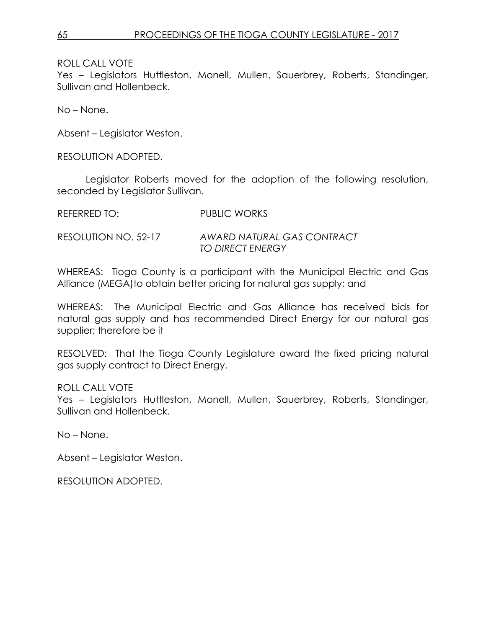Yes – Legislators Huttleston, Monell, Mullen, Sauerbrey, Roberts, Standinger, Sullivan and Hollenbeck.

No – None.

Absent – Legislator Weston.

RESOLUTION ADOPTED.

Legislator Roberts moved for the adoption of the following resolution, seconded by Legislator Sullivan.

REFERRED TO: PUBLIC WORKS

RESOLUTION NO. 52-17 *AWARD NATURAL GAS CONTRACT TO DIRECT ENERGY*

WHEREAS: Tioga County is a participant with the Municipal Electric and Gas Alliance (MEGA)to obtain better pricing for natural gas supply; and

WHEREAS: The Municipal Electric and Gas Alliance has received bids for natural gas supply and has recommended Direct Energy for our natural gas supplier; therefore be it

RESOLVED: That the Tioga County Legislature award the fixed pricing natural gas supply contract to Direct Energy.

ROLL CALL VOTE

Yes – Legislators Huttleston, Monell, Mullen, Sauerbrey, Roberts, Standinger, Sullivan and Hollenbeck.

No – None.

Absent – Legislator Weston.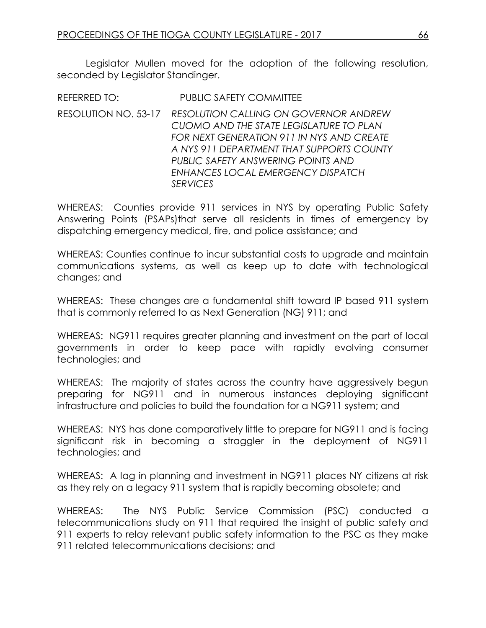Legislator Mullen moved for the adoption of the following resolution, seconded by Legislator Standinger.

REFERRED TO: PUBLIC SAFETY COMMITTEE RESOLUTION NO. 53-17 *RESOLUTION CALLING ON GOVERNOR ANDREW CUOMO AND THE STATE LEGISLATURE TO PLAN FOR NEXT GENERATION 911 IN NYS AND CREATE A NYS 911 DEPARTMENT THAT SUPPORTS COUNTY PUBLIC SAFETY ANSWERING POINTS AND ENHANCES LOCAL EMERGENCY DISPATCH SERVICES*

WHEREAS: Counties provide 911 services in NYS by operating Public Safety Answering Points (PSAPs)that serve all residents in times of emergency by dispatching emergency medical, fire, and police assistance; and

WHEREAS: Counties continue to incur substantial costs to upgrade and maintain communications systems, as well as keep up to date with technological changes; and

WHEREAS: These changes are a fundamental shift toward IP based 911 system that is commonly referred to as Next Generation (NG) 911; and

WHEREAS: NG911 requires greater planning and investment on the part of local governments in order to keep pace with rapidly evolving consumer technologies; and

WHEREAS: The majority of states across the country have aggressively begun preparing for NG911 and in numerous instances deploying significant infrastructure and policies to build the foundation for a NG911 system; and

WHEREAS: NYS has done comparatively little to prepare for NG911 and is facing significant risk in becoming a straggler in the deployment of NG911 technologies; and

WHEREAS: A lag in planning and investment in NG911 places NY citizens at risk as they rely on a legacy 911 system that is rapidly becoming obsolete; and

WHEREAS: The NYS Public Service Commission (PSC) conducted a telecommunications study on 911 that required the insight of public safety and 911 experts to relay relevant public safety information to the PSC as they make 911 related telecommunications decisions; and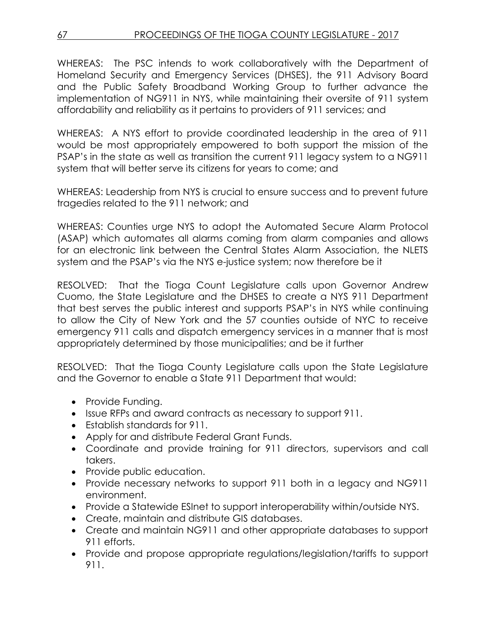WHEREAS: The PSC intends to work collaboratively with the Department of Homeland Security and Emergency Services (DHSES), the 911 Advisory Board and the Public Safety Broadband Working Group to further advance the implementation of NG911 in NYS, while maintaining their oversite of 911 system affordability and reliability as it pertains to providers of 911 services; and

WHEREAS: A NYS effort to provide coordinated leadership in the area of 911 would be most appropriately empowered to both support the mission of the PSAP's in the state as well as transition the current 911 legacy system to a NG911 system that will better serve its citizens for years to come; and

WHEREAS: Leadership from NYS is crucial to ensure success and to prevent future tragedies related to the 911 network; and

WHEREAS: Counties urge NYS to adopt the Automated Secure Alarm Protocol (ASAP) which automates all alarms coming from alarm companies and allows for an electronic link between the Central States Alarm Association, the NLETS system and the PSAP's via the NYS e-justice system; now therefore be it

RESOLVED: That the Tioga Count Legislature calls upon Governor Andrew Cuomo, the State Legislature and the DHSES to create a NYS 911 Department that best serves the public interest and supports PSAP's in NYS while continuing to allow the City of New York and the 57 counties outside of NYC to receive emergency 911 calls and dispatch emergency services in a manner that is most appropriately determined by those municipalities; and be it further

RESOLVED: That the Tioga County Legislature calls upon the State Legislature and the Governor to enable a State 911 Department that would:

- Provide Funding.
- Issue RFPs and award contracts as necessary to support 911.
- Establish standards for 911.
- Apply for and distribute Federal Grant Funds.
- Coordinate and provide training for 911 directors, supervisors and call takers.
- Provide public education.
- Provide necessary networks to support 911 both in a legacy and NG911 environment.
- Provide a Statewide ESInet to support interoperability within/outside NYS.
- Create, maintain and distribute GIS databases.
- Create and maintain NG911 and other appropriate databases to support 911 efforts.
- Provide and propose appropriate regulations/legislation/tariffs to support 911.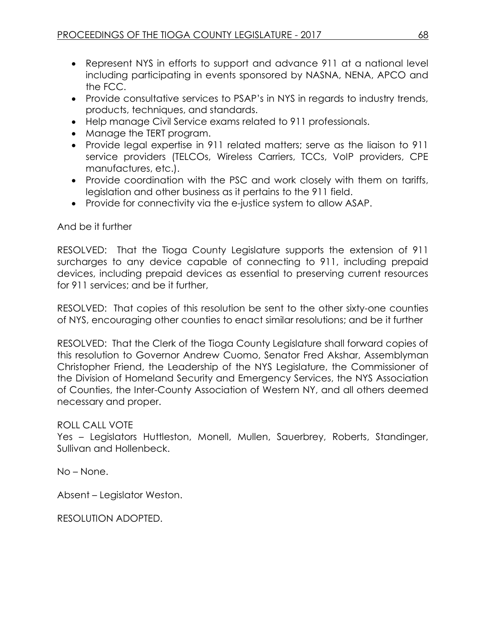- Represent NYS in efforts to support and advance 911 at a national level including participating in events sponsored by NASNA, NENA, APCO and the FCC.
- Provide consultative services to PSAP's in NYS in regards to industry trends, products, techniques, and standards.
- Help manage Civil Service exams related to 911 professionals.
- Manage the TERT program.
- Provide legal expertise in 911 related matters; serve as the liaison to 911 service providers (TELCOs, Wireless Carriers, TCCs, VoIP providers, CPE manufactures, etc.).
- Provide coordination with the PSC and work closely with them on tariffs, legislation and other business as it pertains to the 911 field.
- Provide for connectivity via the e-justice system to allow ASAP.

RESOLVED: That the Tioga County Legislature supports the extension of 911 surcharges to any device capable of connecting to 911, including prepaid devices, including prepaid devices as essential to preserving current resources for 911 services; and be it further,

RESOLVED: That copies of this resolution be sent to the other sixty-one counties of NYS, encouraging other counties to enact similar resolutions; and be it further

RESOLVED: That the Clerk of the Tioga County Legislature shall forward copies of this resolution to Governor Andrew Cuomo, Senator Fred Akshar, Assemblyman Christopher Friend, the Leadership of the NYS Legislature, the Commissioner of the Division of Homeland Security and Emergency Services, the NYS Association of Counties, the Inter-County Association of Western NY, and all others deemed necessary and proper.

### ROLL CALL VOTE

Yes – Legislators Huttleston, Monell, Mullen, Sauerbrey, Roberts, Standinger, Sullivan and Hollenbeck.

No – None.

Absent – Legislator Weston.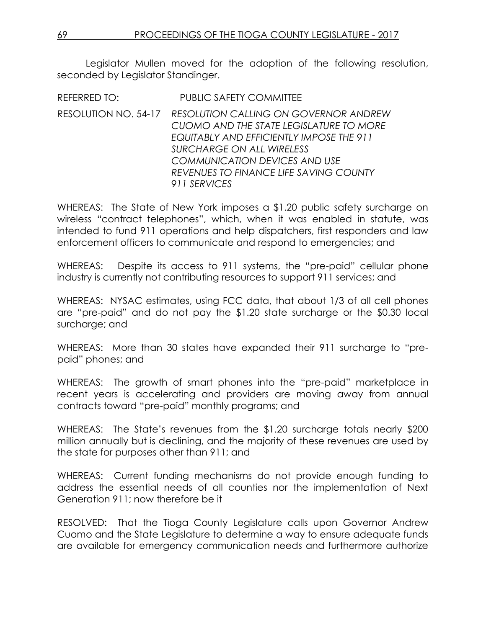Legislator Mullen moved for the adoption of the following resolution, seconded by Legislator Standinger.

REFERRED TO: PUBLIC SAFETY COMMITTEE RESOLUTION NO. 54-17 *RESOLUTION CALLING ON GOVERNOR ANDREW CUOMO AND THE STATE LEGISLATURE TO MORE EQUITABLY AND EFFICIENTLY IMPOSE THE 911 SURCHARGE ON ALL WIRELESS COMMUNICATION DEVICES AND USE REVENUES TO FINANCE LIFE SAVING COUNTY 911 SERVICES*

WHEREAS: The State of New York imposes a \$1.20 public safety surcharge on wireless "contract telephones", which, when it was enabled in statute, was intended to fund 911 operations and help dispatchers, first responders and law enforcement officers to communicate and respond to emergencies; and

WHEREAS: Despite its access to 911 systems, the "pre-paid" cellular phone industry is currently not contributing resources to support 911 services; and

WHEREAS: NYSAC estimates, using FCC data, that about 1/3 of all cell phones are "pre-paid" and do not pay the \$1.20 state surcharge or the \$0.30 local surcharge; and

WHEREAS: More than 30 states have expanded their 911 surcharge to "prepaid" phones; and

WHEREAS: The growth of smart phones into the "pre-paid" marketplace in recent years is accelerating and providers are moving away from annual contracts toward "pre-paid" monthly programs; and

WHEREAS: The State's revenues from the \$1.20 surcharge totals nearly \$200 million annually but is declining, and the majority of these revenues are used by the state for purposes other than 911; and

WHEREAS: Current funding mechanisms do not provide enough funding to address the essential needs of all counties nor the implementation of Next Generation 911; now therefore be it

RESOLVED: That the Tioga County Legislature calls upon Governor Andrew Cuomo and the State Legislature to determine a way to ensure adequate funds are available for emergency communication needs and furthermore authorize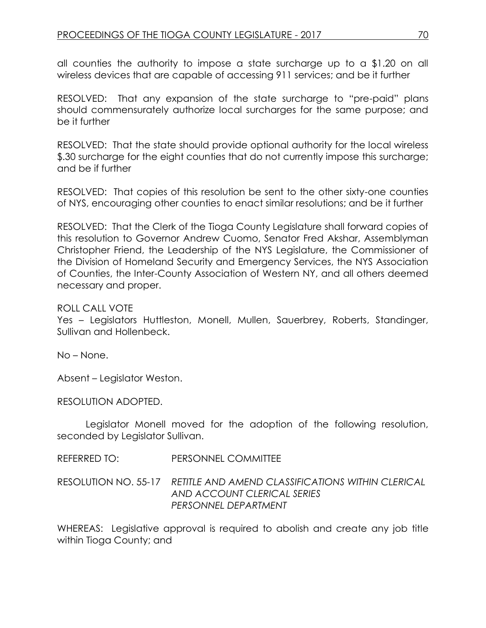all counties the authority to impose a state surcharge up to a \$1.20 on all wireless devices that are capable of accessing 911 services; and be it further

RESOLVED: That any expansion of the state surcharge to "pre-paid" plans should commensurately authorize local surcharges for the same purpose; and be it further

RESOLVED: That the state should provide optional authority for the local wireless \$.30 surcharge for the eight counties that do not currently impose this surcharge; and be if further

RESOLVED: That copies of this resolution be sent to the other sixty-one counties of NYS, encouraging other counties to enact similar resolutions; and be it further

RESOLVED: That the Clerk of the Tioga County Legislature shall forward copies of this resolution to Governor Andrew Cuomo, Senator Fred Akshar, Assemblyman Christopher Friend, the Leadership of the NYS Legislature, the Commissioner of the Division of Homeland Security and Emergency Services, the NYS Association of Counties, the Inter-County Association of Western NY, and all others deemed necessary and proper.

#### ROLL CALL VOTE

Yes – Legislators Huttleston, Monell, Mullen, Sauerbrey, Roberts, Standinger, Sullivan and Hollenbeck.

No – None.

Absent – Legislator Weston.

RESOLUTION ADOPTED.

Legislator Monell moved for the adoption of the following resolution, seconded by Legislator Sullivan.

#### REFERRED TO: PERSONNEL COMMITTEE

RESOLUTION NO. 55-17 *RETITLE AND AMEND CLASSIFICATIONS WITHIN CLERICAL AND ACCOUNT CLERICAL SERIES PERSONNEL DEPARTMENT* 

WHEREAS: Legislative approval is required to abolish and create any job title within Tioga County; and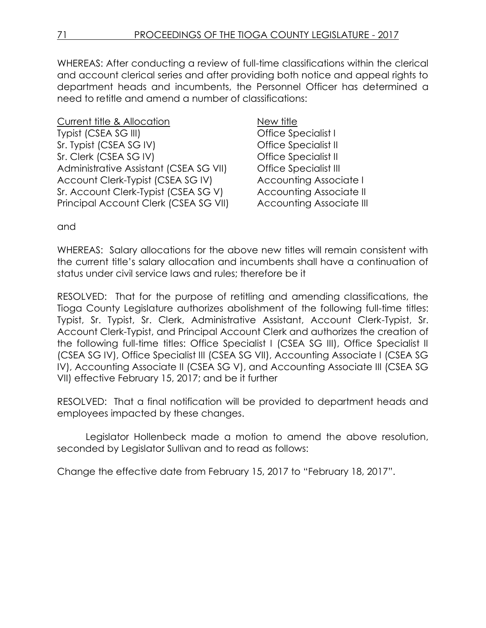WHEREAS: After conducting a review of full-time classifications within the clerical and account clerical series and after providing both notice and appeal rights to department heads and incumbents, the Personnel Officer has determined a need to retitle and amend a number of classifications:

Current title & Allocation New title Typist (CSEA SG III) Contract Contract Contract Contract Office Specialist I Sr. Typist (CSEA SG IV) Office Specialist II Sr. Clerk (CSEA SG IV) Office Specialist II Administrative Assistant (CSEA SG VII) Office Specialist III Account Clerk-Typist (CSEA SG IV) Accounting Associate I Sr. Account Clerk-Typist (CSEA SG V) Accounting Associate II Principal Account Clerk (CSEA SG VII) Accounting Associate III

and

WHEREAS: Salary allocations for the above new titles will remain consistent with the current title's salary allocation and incumbents shall have a continuation of status under civil service laws and rules; therefore be it

RESOLVED: That for the purpose of retitling and amending classifications, the Tioga County Legislature authorizes abolishment of the following full-time titles: Typist, Sr. Typist, Sr. Clerk, Administrative Assistant, Account Clerk-Typist, Sr. Account Clerk-Typist, and Principal Account Clerk and authorizes the creation of the following full-time titles: Office Specialist I (CSEA SG III), Office Specialist II (CSEA SG IV), Office Specialist III (CSEA SG VII), Accounting Associate I (CSEA SG IV), Accounting Associate II (CSEA SG V), and Accounting Associate III (CSEA SG VII) effective February 15, 2017; and be it further

RESOLVED: That a final notification will be provided to department heads and employees impacted by these changes.

Legislator Hollenbeck made a motion to amend the above resolution, seconded by Legislator Sullivan and to read as follows:

Change the effective date from February 15, 2017 to "February 18, 2017".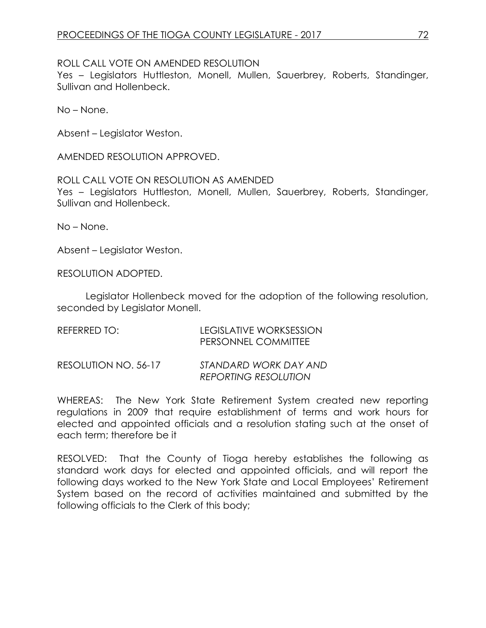#### ROLL CALL VOTE ON AMENDED RESOLUTION

Yes – Legislators Huttleston, Monell, Mullen, Sauerbrey, Roberts, Standinger, Sullivan and Hollenbeck.

No – None.

Absent – Legislator Weston.

AMENDED RESOLUTION APPROVED.

#### ROLL CALL VOTE ON RESOLUTION AS AMENDED

Yes – Legislators Huttleston, Monell, Mullen, Sauerbrey, Roberts, Standinger, Sullivan and Hollenbeck.

No – None.

Absent – Legislator Weston.

RESOLUTION ADOPTED.

Legislator Hollenbeck moved for the adoption of the following resolution, seconded by Legislator Monell.

| REFERRED TO:         | LEGISLATIVE WORKSESSION<br>PERSONNEL COMMITTEE       |
|----------------------|------------------------------------------------------|
| RESOLUTION NO. 56-17 | STANDARD WORK DAY AND<br><b>REPORTING RESOLUTION</b> |

WHEREAS: The New York State Retirement System created new reporting regulations in 2009 that require establishment of terms and work hours for elected and appointed officials and a resolution stating such at the onset of each term; therefore be it

RESOLVED: That the County of Tioga hereby establishes the following as standard work days for elected and appointed officials, and will report the following days worked to the New York State and Local Employees' Retirement System based on the record of activities maintained and submitted by the following officials to the Clerk of this body;